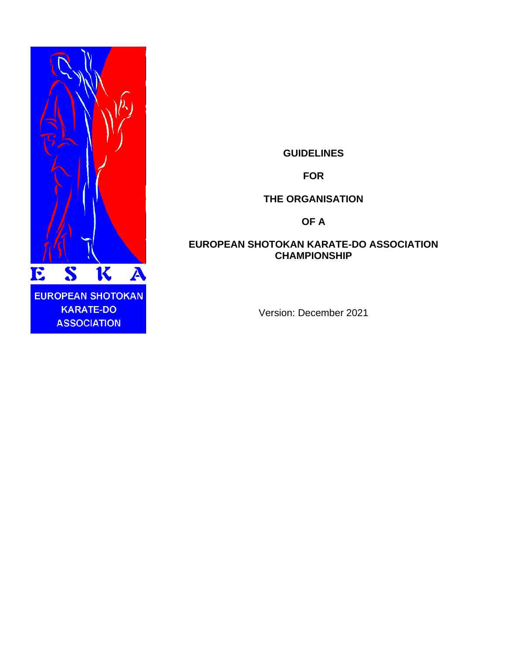

**GUIDELINES**

**FOR**

**THE ORGANISATION** 

**OF A**

## **EUROPEAN SHOTOKAN KARATE-DO ASSOCIATION CHAMPIONSHIP**

Version: December 2021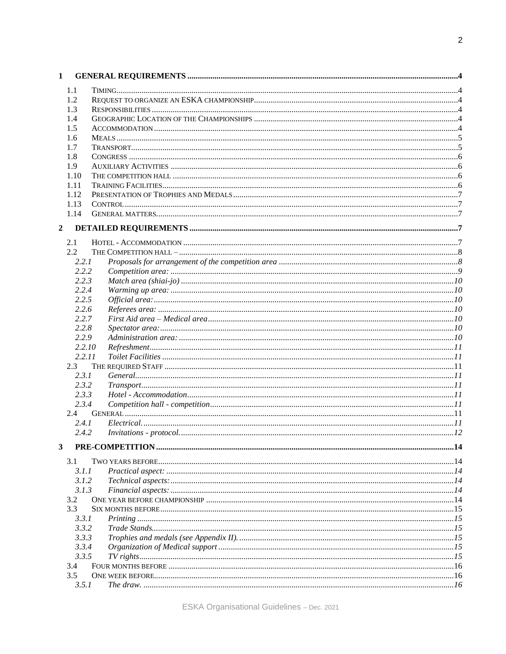| 1              |        |  |
|----------------|--------|--|
|                | 1.1    |  |
|                | 1.2    |  |
|                | 1.3    |  |
|                | 1.4    |  |
|                | 1.5    |  |
|                | 1.6    |  |
|                | 1.7    |  |
|                | 1.8    |  |
|                | 1.9    |  |
|                | 1.10   |  |
|                | 1.11   |  |
|                | 1.12   |  |
|                | 1.13   |  |
|                | 1.14   |  |
| $\overline{2}$ |        |  |
|                |        |  |
|                | 2.1    |  |
|                | 2.2    |  |
|                | 2.2.1  |  |
|                | 2.2.2  |  |
|                | 2.2.3  |  |
|                | 2.2.4  |  |
|                | 2.2.5  |  |
|                | 2.2.6  |  |
|                | 2.2.7  |  |
|                | 2.2.8  |  |
|                | 2.2.9  |  |
|                | 2.2.10 |  |
|                | 2.2.11 |  |
|                | 2.3    |  |
|                | 2.3.1  |  |
|                | 2.3.2  |  |
|                | 2.3.3  |  |
|                | 2.3.4  |  |
|                | 2.4    |  |
|                | 2.4.1  |  |
|                | 2.4.2  |  |
| 3              |        |  |
|                | 3.1    |  |
|                | 3.1.1  |  |
|                | 3.1.2  |  |
|                | 3.1.3  |  |
|                | 3.2    |  |
|                | 3.3    |  |
|                | 3.3.1  |  |
|                | 3.3.2  |  |
|                | 3.3.3  |  |
|                | 3.3.4  |  |
|                | 3.3.5  |  |
|                | 3.4    |  |
|                | 3.5    |  |
|                | 3.5.1  |  |
|                |        |  |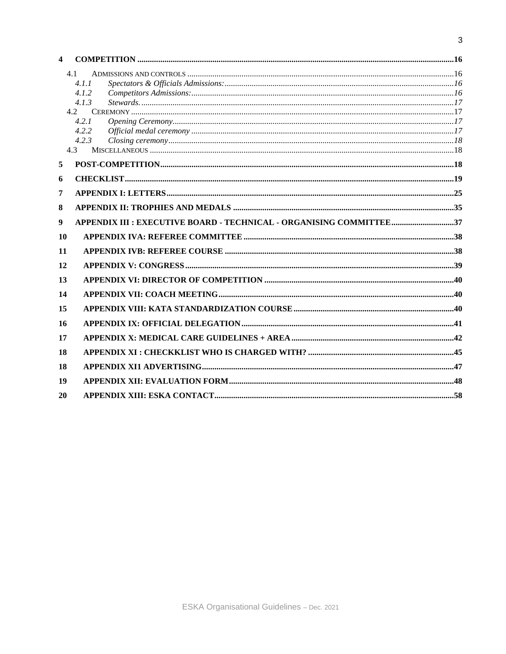| $\overline{\mathbf{4}}$ |                                                                     |  |
|-------------------------|---------------------------------------------------------------------|--|
|                         | 4.1                                                                 |  |
|                         | 4.1.1                                                               |  |
|                         | 4.1.2                                                               |  |
|                         | 4.1.3                                                               |  |
|                         | 4.2                                                                 |  |
|                         | 4.2.1                                                               |  |
|                         | 4.2.2                                                               |  |
|                         | 4.2.3                                                               |  |
|                         | 4.3                                                                 |  |
| 5                       |                                                                     |  |
| 6                       |                                                                     |  |
| 7                       |                                                                     |  |
| 8                       |                                                                     |  |
| $\boldsymbol{9}$        | APPENDIX III : EXECUTIVE BOARD - TECHNICAL - ORGANISING COMMITTEE37 |  |
| 10                      |                                                                     |  |
| 11                      |                                                                     |  |
| 12                      |                                                                     |  |
| 13                      |                                                                     |  |
| 14                      |                                                                     |  |
| 15                      |                                                                     |  |
| 16                      |                                                                     |  |
| 17                      |                                                                     |  |
| 18                      |                                                                     |  |
| 18                      |                                                                     |  |
| 19                      |                                                                     |  |
| 20                      |                                                                     |  |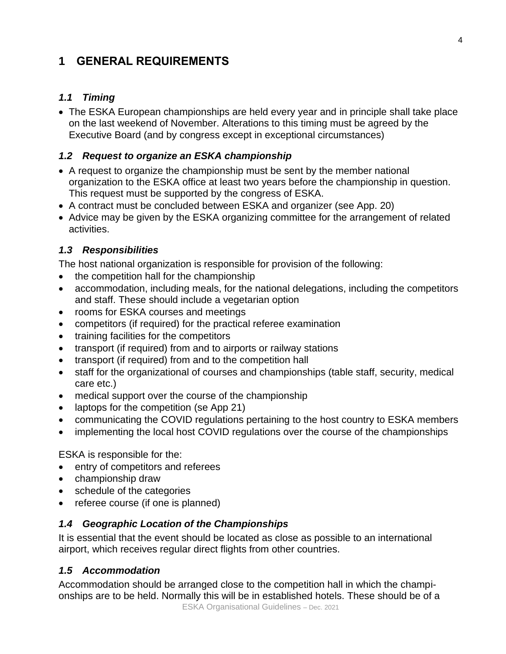# **1 GENERAL REQUIREMENTS**

# *1.1 Timing*

• The ESKA European championships are held every year and in principle shall take place on the last weekend of November. Alterations to this timing must be agreed by the Executive Board (and by congress except in exceptional circumstances)

## *1.2 Request to organize an ESKA championship*

- A request to organize the championship must be sent by the member national organization to the ESKA office at least two years before the championship in question. This request must be supported by the congress of ESKA.
- A contract must be concluded between ESKA and organizer (see App. 20)
- Advice may be given by the ESKA organizing committee for the arrangement of related activities.

# *1.3 Responsibilities*

The host national organization is responsible for provision of the following:

- the competition hall for the championship
- accommodation, including meals, for the national delegations, including the competitors and staff. These should include a vegetarian option
- rooms for ESKA courses and meetings
- competitors (if required) for the practical referee examination
- training facilities for the competitors
- transport (if required) from and to airports or railway stations
- transport (if required) from and to the competition hall
- staff for the organizational of courses and championships (table staff, security, medical care etc.)
- medical support over the course of the championship
- laptops for the competition (se App 21)
- communicating the COVID regulations pertaining to the host country to ESKA members
- implementing the local host COVID regulations over the course of the championships

ESKA is responsible for the:

- entry of competitors and referees
- championship draw
- schedule of the categories
- referee course (if one is planned)

# *1.4 Geographic Location of the Championships*

It is essential that the event should be located as close as possible to an international airport, which receives regular direct flights from other countries.

# *1.5 Accommodation*

ESKA Organisational Guidelines – Dec. 2021 Accommodation should be arranged close to the competition hall in which the championships are to be held. Normally this will be in established hotels. These should be of a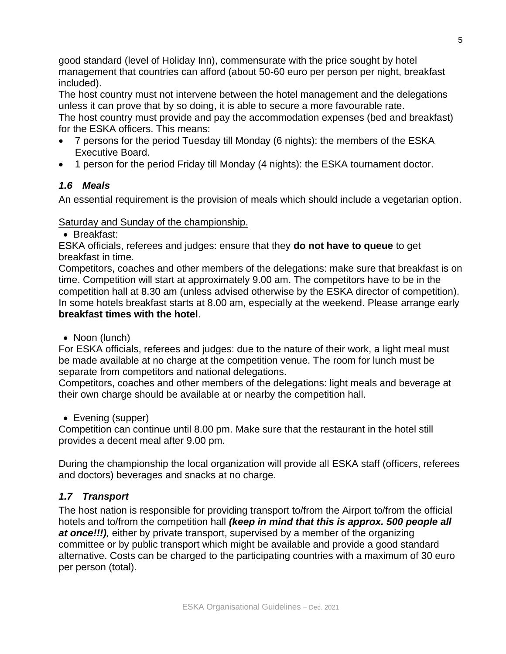good standard (level of Holiday Inn), commensurate with the price sought by hotel management that countries can afford (about 50-60 euro per person per night, breakfast included).

The host country must not intervene between the hotel management and the delegations unless it can prove that by so doing, it is able to secure a more favourable rate. The host country must provide and pay the accommodation expenses (bed and breakfast) for the ESKA officers. This means:

- 7 persons for the period Tuesday till Monday (6 nights): the members of the ESKA Executive Board.
- 1 person for the period Friday till Monday (4 nights): the ESKA tournament doctor.

# *1.6 Meals*

An essential requirement is the provision of meals which should include a vegetarian option.

## Saturday and Sunday of the championship.

• Breakfast:

ESKA officials, referees and judges: ensure that they **do not have to queue** to get breakfast in time.

Competitors, coaches and other members of the delegations: make sure that breakfast is on time. Competition will start at approximately 9.00 am. The competitors have to be in the competition hall at 8.30 am (unless advised otherwise by the ESKA director of competition). In some hotels breakfast starts at 8.00 am, especially at the weekend. Please arrange early **breakfast times with the hotel**.

• Noon (lunch)

For ESKA officials, referees and judges: due to the nature of their work, a light meal must be made available at no charge at the competition venue. The room for lunch must be separate from competitors and national delegations.

Competitors, coaches and other members of the delegations: light meals and beverage at their own charge should be available at or nearby the competition hall.

• Evening (supper)

Competition can continue until 8.00 pm. Make sure that the restaurant in the hotel still provides a decent meal after 9.00 pm.

During the championship the local organization will provide all ESKA staff (officers, referees and doctors) beverages and snacks at no charge.

# *1.7 Transport*

The host nation is responsible for providing transport to/from the Airport to/from the official hotels and to/from the competition hall *(keep in mind that this is approx. 500 people all at once!!!),* either by private transport, supervised by a member of the organizing committee or by public transport which might be available and provide a good standard alternative. Costs can be charged to the participating countries with a maximum of 30 euro per person (total).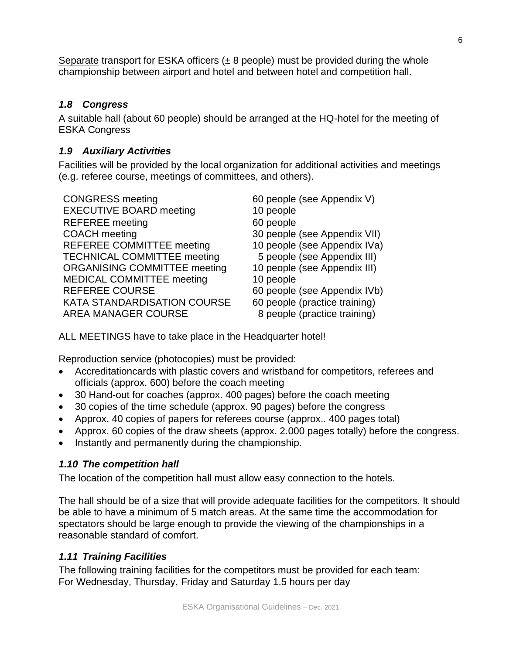Separate transport for ESKA officers  $(\pm 8$  people) must be provided during the whole championship between airport and hotel and between hotel and competition hall.

## *1.8 Congress*

A suitable hall (about 60 people) should be arranged at the HQ-hotel for the meeting of ESKA Congress

## *1.9 Auxiliary Activities*

Facilities will be provided by the local organization for additional activities and meetings (e.g. referee course, meetings of committees, and others).

CONGRESS meeting 60 people (see Appendix V) EXECUTIVE BOARD meeting 10 people REFEREE meeting 60 people COACH meeting 30 people (see Appendix VII) REFEREE COMMITTEE meeting 10 people (see Appendix IVa) TECHNICAL COMMITTEE meeting 5 people (see Appendix III) ORGANISING COMMITTEE meeting 10 people (see Appendix III) MEDICAL COMMITTEE meeting 10 people REFEREE COURSE 60 people (see Appendix IVb) KATA STANDARDISATION COURSE 60 people (practice training) AREA MANAGER COURSE 8 people (practice training)

ALL MEETINGS have to take place in the Headquarter hotel!

Reproduction service (photocopies) must be provided:

- Accreditationcards with plastic covers and wristband for competitors, referees and officials (approx. 600) before the coach meeting
- 30 Hand-out for coaches (approx. 400 pages) before the coach meeting
- 30 copies of the time schedule (approx. 90 pages) before the congress
- Approx. 40 copies of papers for referees course (approx.. 400 pages total)
- Approx. 60 copies of the draw sheets (approx. 2.000 pages totally) before the congress.
- Instantly and permanently during the championship.

# *1.10 The competition hall*

The location of the competition hall must allow easy connection to the hotels.

The hall should be of a size that will provide adequate facilities for the competitors. It should be able to have a minimum of 5 match areas. At the same time the accommodation for spectators should be large enough to provide the viewing of the championships in a reasonable standard of comfort.

# *1.11 Training Facilities*

The following training facilities for the competitors must be provided for each team: For Wednesday, Thursday, Friday and Saturday 1.5 hours per day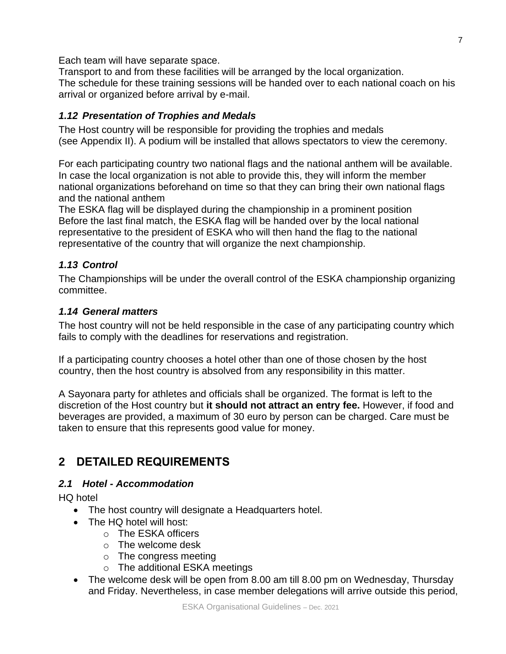Each team will have separate space.

Transport to and from these facilities will be arranged by the local organization. The schedule for these training sessions will be handed over to each national coach on his arrival or organized before arrival by e-mail.

# *1.12 Presentation of Trophies and Medals*

The Host country will be responsible for providing the trophies and medals (see Appendix II). A podium will be installed that allows spectators to view the ceremony.

For each participating country two national flags and the national anthem will be available. In case the local organization is not able to provide this, they will inform the member national organizations beforehand on time so that they can bring their own national flags and the national anthem

The ESKA flag will be displayed during the championship in a prominent position Before the last final match, the ESKA flag will be handed over by the local national representative to the president of ESKA who will then hand the flag to the national representative of the country that will organize the next championship.

# *1.13 Control*

The Championships will be under the overall control of the ESKA championship organizing committee.

## *1.14 General matters*

The host country will not be held responsible in the case of any participating country which fails to comply with the deadlines for reservations and registration.

If a participating country chooses a hotel other than one of those chosen by the host country, then the host country is absolved from any responsibility in this matter.

A Sayonara party for athletes and officials shall be organized. The format is left to the discretion of the Host country but **it should not attract an entry fee.** However, if food and beverages are provided, a maximum of 30 euro by person can be charged. Care must be taken to ensure that this represents good value for money.

# **2 DETAILED REQUIREMENTS**

# *2.1 Hotel - Accommodation*

HQ hotel

- The host country will designate a Headquarters hotel.
- The HQ hotel will host:
	- o The ESKA officers
	- o The welcome desk
	- o The congress meeting
	- o The additional ESKA meetings
- The welcome desk will be open from 8.00 am till 8.00 pm on Wednesday, Thursday and Friday. Nevertheless, in case member delegations will arrive outside this period,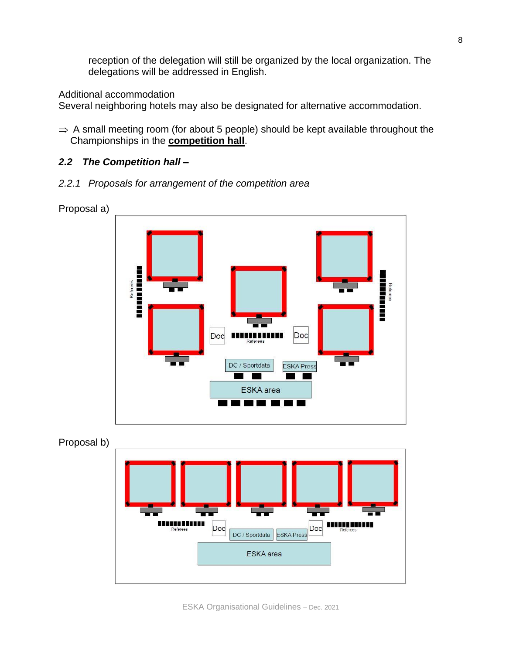reception of the delegation will still be organized by the local organization. The delegations will be addressed in English.

Additional accommodation

Several neighboring hotels may also be designated for alternative accommodation.

 $\Rightarrow$  A small meeting room (for about 5 people) should be kept available throughout the Championships in the **competition hall**.

## *2.2 The Competition hall –*

*2.2.1 Proposals for arrangement of the competition area*





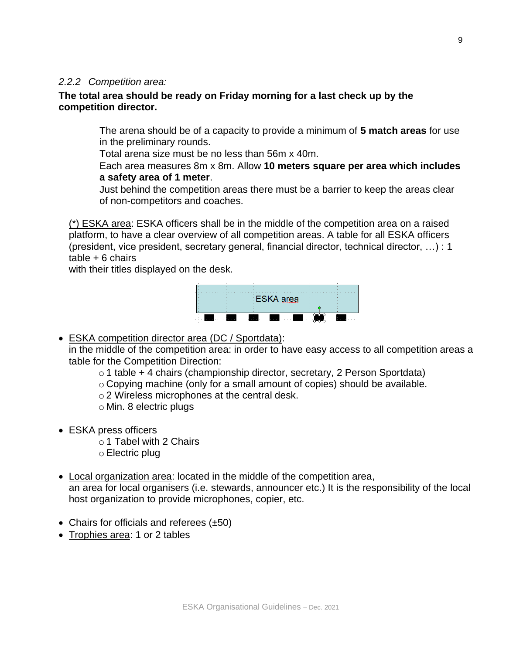#### *2.2.2 Competition area:*

## **The total area should be ready on Friday morning for a last check up by the competition director.**

The arena should be of a capacity to provide a minimum of **5 match areas** for use in the preliminary rounds.

Total arena size must be no less than 56m x 40m.

Each area measures 8m x 8m. Allow **10 meters square per area which includes a safety area of 1 meter**.

Just behind the competition areas there must be a barrier to keep the areas clear of non-competitors and coaches.

(\*) ESKA area: ESKA officers shall be in the middle of the competition area on a raised platform, to have a clear overview of all competition areas. A table for all ESKA officers (president, vice president, secretary general, financial director, technical director, …) : 1  $table + 6$  chairs

with their titles displayed on the desk.

ESKA area

• ESKA competition director area (DC / Sportdata):

in the middle of the competition area: in order to have easy access to all competition areas a table for the Competition Direction:

o 1 table + 4 chairs (championship director, secretary, 2 Person Sportdata)

o Copying machine (only for a small amount of copies) should be available.

o 2 Wireless microphones at the central desk.

- o Min. 8 electric plugs
- ESKA press officers
	- o 1 Tabel with 2 Chairs
	- o Electric plug
- Local organization area: located in the middle of the competition area, an area for local organisers (i.e. stewards, announcer etc.) It is the responsibility of the local host organization to provide microphones, copier, etc.
- Chairs for officials and referees (±50)
- Trophies area: 1 or 2 tables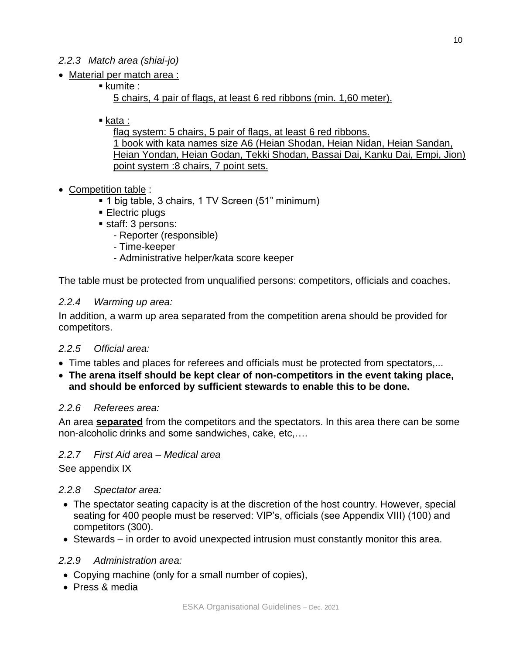## *2.2.3 Match area (shiai-jo)*

- Material per match area :
	- kumite :

5 chairs, 4 pair of flags, at least 6 red ribbons (min. 1,60 meter).

■ kata :

flag system: 5 chairs, 5 pair of flags, at least 6 red ribbons. 1 book with kata names size A6 (Heian Shodan, Heian Nidan, Heian Sandan, Heian Yondan, Heian Godan, Tekki Shodan, Bassai Dai, Kanku Dai, Empi, Jion) point system :8 chairs, 7 point sets.

- Competition table :
	- 1 big table, 3 chairs, 1 TV Screen (51" minimum)
	- Electric plugs
	- staff: 3 persons:
		- Reporter (responsible)
		- Time-keeper
		- Administrative helper/kata score keeper

The table must be protected from unqualified persons: competitors, officials and coaches.

#### *2.2.4 Warming up area:*

In addition, a warm up area separated from the competition arena should be provided for competitors.

## *2.2.5 Official area:*

- Time tables and places for referees and officials must be protected from spectators,...
- **The arena itself should be kept clear of non-competitors in the event taking place, and should be enforced by sufficient stewards to enable this to be done.**

#### *2.2.6 Referees area:*

An area **separated** from the competitors and the spectators. In this area there can be some non-alcoholic drinks and some sandwiches, cake, etc,….

## *2.2.7 First Aid area – Medical area*

See appendix IX

## *2.2.8 Spectator area:*

- The spectator seating capacity is at the discretion of the host country. However, special seating for 400 people must be reserved: VIP's, officials (see Appendix VIII) (100) and competitors (300).
- Stewards in order to avoid unexpected intrusion must constantly monitor this area.

#### *2.2.9 Administration area:*

- Copying machine (only for a small number of copies),
- Press & media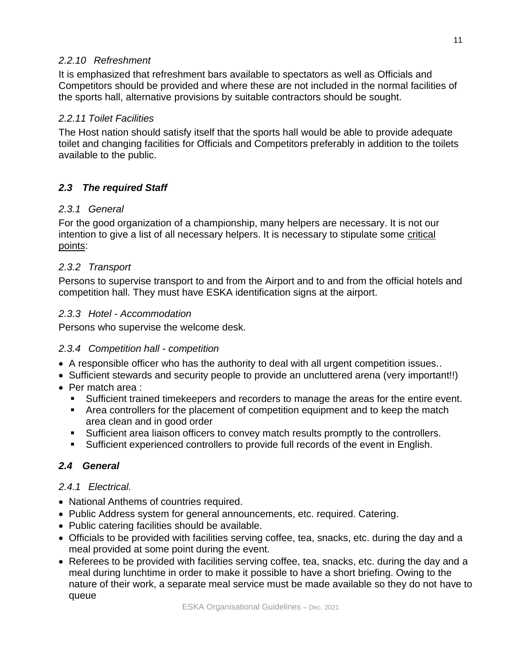## *2.2.10 Refreshment*

It is emphasized that refreshment bars available to spectators as well as Officials and Competitors should be provided and where these are not included in the normal facilities of the sports hall, alternative provisions by suitable contractors should be sought.

## *2.2.11 Toilet Facilities*

The Host nation should satisfy itself that the sports hall would be able to provide adequate toilet and changing facilities for Officials and Competitors preferably in addition to the toilets available to the public.

# *2.3 The required Staff*

## *2.3.1 General*

For the good organization of a championship, many helpers are necessary. It is not our intention to give a list of all necessary helpers. It is necessary to stipulate some critical points:

## *2.3.2 Transport*

Persons to supervise transport to and from the Airport and to and from the official hotels and competition hall. They must have ESKA identification signs at the airport.

## *2.3.3 Hotel - Accommodation*

Persons who supervise the welcome desk.

## *2.3.4 Competition hall - competition*

- A responsible officer who has the authority to deal with all urgent competition issues..
- Sufficient stewards and security people to provide an uncluttered arena (very important!!)
- Per match area :
	- Sufficient trained timekeepers and recorders to manage the areas for the entire event.
	- **EXP** Area controllers for the placement of competition equipment and to keep the match area clean and in good order
	- Sufficient area liaison officers to convey match results promptly to the controllers.
	- Sufficient experienced controllers to provide full records of the event in English.

## *2.4 General*

## *2.4.1 Electrical.*

- National Anthems of countries required.
- Public Address system for general announcements, etc. required. Catering.
- Public catering facilities should be available.
- Officials to be provided with facilities serving coffee, tea, snacks, etc. during the day and a meal provided at some point during the event.
- Referees to be provided with facilities serving coffee, tea, snacks, etc. during the day and a meal during lunchtime in order to make it possible to have a short briefing. Owing to the nature of their work, a separate meal service must be made available so they do not have to queue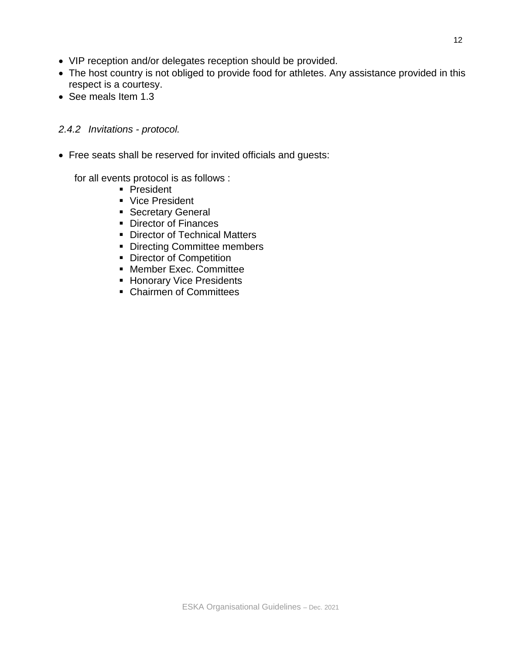- VIP reception and/or delegates reception should be provided.
- The host country is not obliged to provide food for athletes. Any assistance provided in this respect is a courtesy.
- See meals Item 1.3

## *2.4.2 Invitations - protocol.*

• Free seats shall be reserved for invited officials and guests:

for all events protocol is as follows :

- President
- Vice President
- Secretary General
- Director of Finances
- Director of Technical Matters
- Directing Committee members
- Director of Competition
- Member Exec. Committee
- Honorary Vice Presidents
- Chairmen of Committees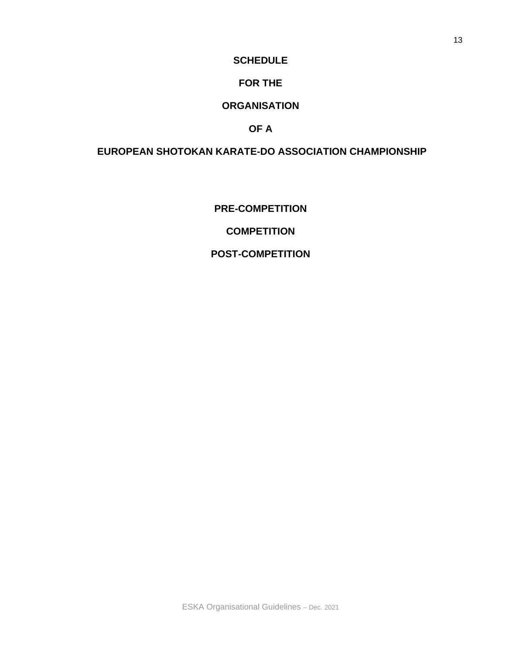#### **SCHEDULE**

## **FOR THE**

## **ORGANISATION**

## **OF A**

# **EUROPEAN SHOTOKAN KARATE-DO ASSOCIATION CHAMPIONSHIP**

**PRE-COMPETITION**

**COMPETITION** 

#### **POST-COMPETITION**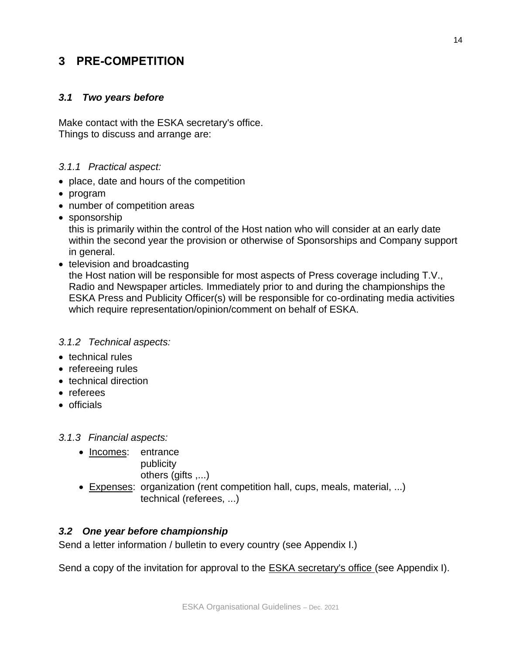# **3 PRE-COMPETITION**

## *3.1 Two years before*

Make contact with the ESKA secretary's office. Things to discuss and arrange are:

## *3.1.1 Practical aspect:*

- place, date and hours of the competition
- program
- number of competition areas
- sponsorship

this is primarily within the control of the Host nation who will consider at an early date within the second year the provision or otherwise of Sponsorships and Company support in general.

• television and broadcasting the Host nation will be responsible for most aspects of Press coverage including T.V., Radio and Newspaper articles*.* Immediately prior to and during the championships the ESKA Press and Publicity Officer(s) will be responsible for co-ordinating media activities which require representation/opinion/comment on behalf of ESKA.

## *3.1.2 Technical aspects:*

- technical rules
- refereeing rules
- technical direction
- referees
- officials

*3.1.3 Financial aspects:*

- Incomes: entrance publicity
	- others (gifts ,...)
- Expenses: organization (rent competition hall, cups, meals, material, ...) technical (referees, ...)

## *3.2 One year before championship*

Send a letter information / bulletin to every country (see Appendix I.)

Send a copy of the invitation for approval to the ESKA secretary's office (see Appendix I).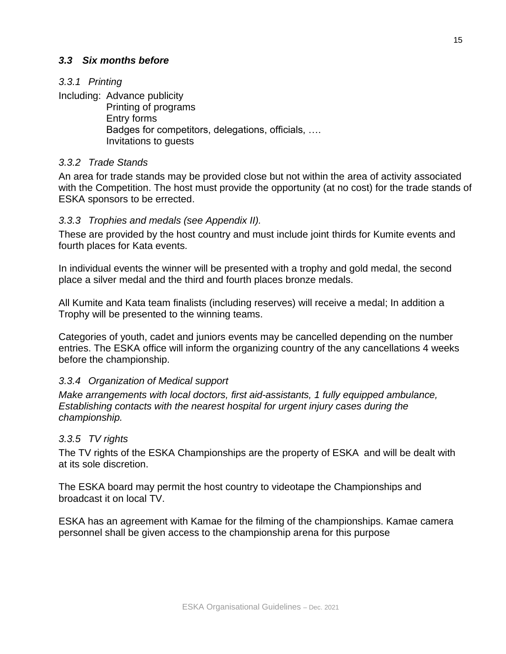## *3.3 Six months before*

## *3.3.1 Printing*

Including: Advance publicity Printing of programs Entry forms

Badges for competitors, delegations, officials, …. Invitations to guests

## *3.3.2 Trade Stands*

An area for trade stands may be provided close but not within the area of activity associated with the Competition. The host must provide the opportunity (at no cost) for the trade stands of ESKA sponsors to be errected.

## *3.3.3 Trophies and medals (see Appendix II).*

These are provided by the host country and must include joint thirds for Kumite events and fourth places for Kata events.

In individual events the winner will be presented with a trophy and gold medal, the second place a silver medal and the third and fourth places bronze medals.

All Kumite and Kata team finalists (including reserves) will receive a medal; In addition a Trophy will be presented to the winning teams.

Categories of youth, cadet and juniors events may be cancelled depending on the number entries. The ESKA office will inform the organizing country of the any cancellations 4 weeks before the championship.

## *3.3.4 Organization of Medical support*

*Make arrangements with local doctors, first aid-assistants, 1 fully equipped ambulance, Establishing contacts with the nearest hospital for urgent injury cases during the championship.*

## *3.3.5 TV rights*

The TV rights of the ESKA Championships are the property of ESKA and will be dealt with at its sole discretion.

The ESKA board may permit the host country to videotape the Championships and broadcast it on local TV.

ESKA has an agreement with Kamae for the filming of the championships. Kamae camera personnel shall be given access to the championship arena for this purpose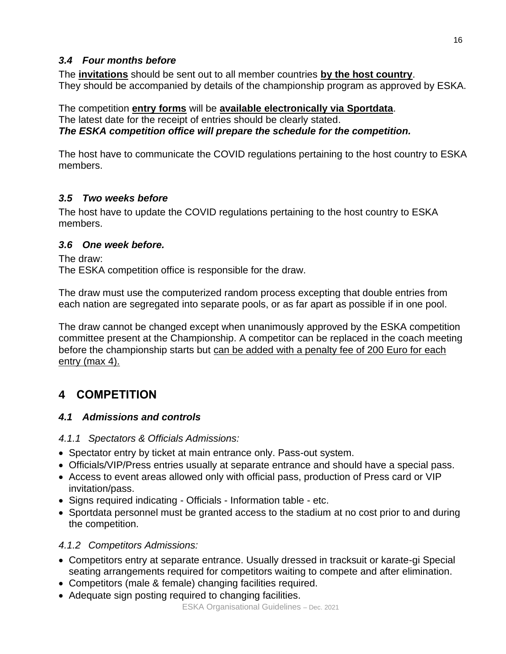## *3.4 Four months before*

The **invitations** should be sent out to all member countries **by the host country**. They should be accompanied by details of the championship program as approved by ESKA.

The competition **entry forms** will be **available electronically via Sportdata**. The latest date for the receipt of entries should be clearly stated. *The ESKA competition office will prepare the schedule for the competition.*

The host have to communicate the COVID regulations pertaining to the host country to ESKA members.

# *3.5 Two weeks before*

The host have to update the COVID regulations pertaining to the host country to ESKA members.

## *3.6 One week before.*

The draw:

The ESKA competition office is responsible for the draw.

The draw must use the computerized random process excepting that double entries from each nation are segregated into separate pools, or as far apart as possible if in one pool.

The draw cannot be changed except when unanimously approved by the ESKA competition committee present at the Championship. A competitor can be replaced in the coach meeting before the championship starts but can be added with a penalty fee of 200 Euro for each entry (max 4).

# **4 COMPETITION**

# *4.1 Admissions and controls*

*4.1.1 Spectators & Officials Admissions:*

- Spectator entry by ticket at main entrance only. Pass-out system.
- Officials/VIP/Press entries usually at separate entrance and should have a special pass.
- Access to event areas allowed only with official pass, production of Press card or VIP invitation/pass.
- Signs required indicating Officials Information table etc.
- Sportdata personnel must be granted access to the stadium at no cost prior to and during the competition.

# *4.1.2 Competitors Admissions:*

- Competitors entry at separate entrance. Usually dressed in tracksuit or karate-gi Special seating arrangements required for competitors waiting to compete and after elimination.
- Competitors (male & female) changing facilities required.
- Adequate sign posting required to changing facilities.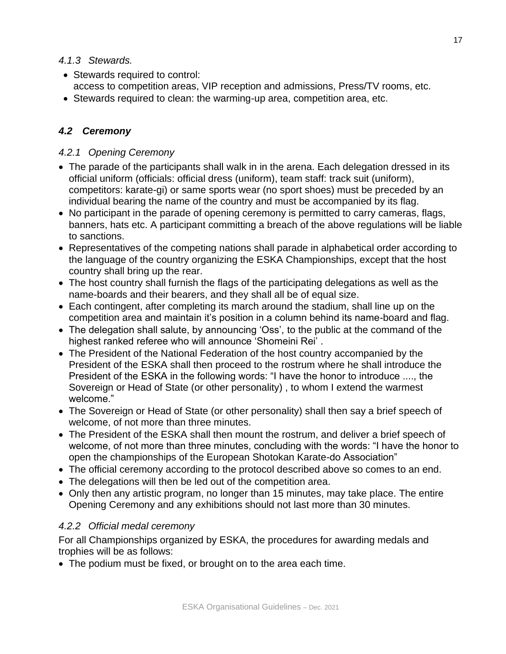## *4.1.3 Stewards.*

- Stewards required to control: access to competition areas, VIP reception and admissions, Press/TV rooms, etc.
- Stewards required to clean: the warming-up area, competition area, etc.

# *4.2 Ceremony*

## *4.2.1 Opening Ceremony*

- The parade of the participants shall walk in in the arena. Each delegation dressed in its official uniform (officials: official dress (uniform), team staff: track suit (uniform), competitors: karate-gi) or same sports wear (no sport shoes) must be preceded by an individual bearing the name of the country and must be accompanied by its flag.
- No participant in the parade of opening ceremony is permitted to carry cameras, flags, banners, hats etc. A participant committing a breach of the above regulations will be liable to sanctions.
- Representatives of the competing nations shall parade in alphabetical order according to the language of the country organizing the ESKA Championships, except that the host country shall bring up the rear.
- The host country shall furnish the flags of the participating delegations as well as the name-boards and their bearers, and they shall all be of equal size.
- Each contingent, after completing its march around the stadium, shall line up on the competition area and maintain it's position in a column behind its name-board and flag.
- The delegation shall salute, by announcing 'Oss', to the public at the command of the highest ranked referee who will announce 'Shomeini Rei' .
- The President of the National Federation of the host country accompanied by the President of the ESKA shall then proceed to the rostrum where he shall introduce the President of the ESKA in the following words: "I have the honor to introduce ...., the Sovereign or Head of State (or other personality) , to whom I extend the warmest welcome."
- The Sovereign or Head of State (or other personality) shall then say a brief speech of welcome, of not more than three minutes.
- The President of the ESKA shall then mount the rostrum, and deliver a brief speech of welcome, of not more than three minutes, concluding with the words: "I have the honor to open the championships of the European Shotokan Karate-do Association"
- The official ceremony according to the protocol described above so comes to an end.
- The delegations will then be led out of the competition area.
- Only then any artistic program, no longer than 15 minutes, may take place. The entire Opening Ceremony and any exhibitions should not last more than 30 minutes.

## *4.2.2 Official medal ceremony*

For all Championships organized by ESKA, the procedures for awarding medals and trophies will be as follows:

• The podium must be fixed, or brought on to the area each time.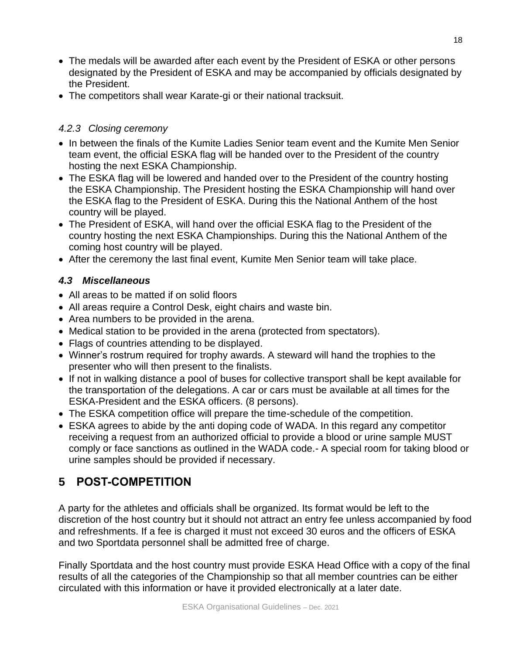- The medals will be awarded after each event by the President of ESKA or other persons designated by the President of ESKA and may be accompanied by officials designated by the President.
- The competitors shall wear Karate-gi or their national tracksuit.

## *4.2.3 Closing ceremony*

- In between the finals of the Kumite Ladies Senior team event and the Kumite Men Senior team event, the official ESKA flag will be handed over to the President of the country hosting the next ESKA Championship.
- The ESKA flag will be lowered and handed over to the President of the country hosting the ESKA Championship. The President hosting the ESKA Championship will hand over the ESKA flag to the President of ESKA. During this the National Anthem of the host country will be played.
- The President of ESKA, will hand over the official ESKA flag to the President of the country hosting the next ESKA Championships. During this the National Anthem of the coming host country will be played.
- After the ceremony the last final event, Kumite Men Senior team will take place.

# *4.3 Miscellaneous*

- All areas to be matted if on solid floors
- All areas require a Control Desk, eight chairs and waste bin.
- Area numbers to be provided in the arena.
- Medical station to be provided in the arena (protected from spectators).
- Flags of countries attending to be displayed.
- Winner's rostrum required for trophy awards. A steward will hand the trophies to the presenter who will then present to the finalists.
- If not in walking distance a pool of buses for collective transport shall be kept available for the transportation of the delegations. A car or cars must be available at all times for the ESKA-President and the ESKA officers. (8 persons).
- The ESKA competition office will prepare the time-schedule of the competition.
- ESKA agrees to abide by the anti doping code of WADA. In this regard any competitor receiving a request from an authorized official to provide a blood or urine sample MUST comply or face sanctions as outlined in the WADA code.- A special room for taking blood or urine samples should be provided if necessary.

# **5 POST-COMPETITION**

A party for the athletes and officials shall be organized. Its format would be left to the discretion of the host country but it should not attract an entry fee unless accompanied by food and refreshments. If a fee is charged it must not exceed 30 euros and the officers of ESKA and two Sportdata personnel shall be admitted free of charge.

Finally Sportdata and the host country must provide ESKA Head Office with a copy of the final results of all the categories of the Championship so that all member countries can be either circulated with this information or have it provided electronically at a later date.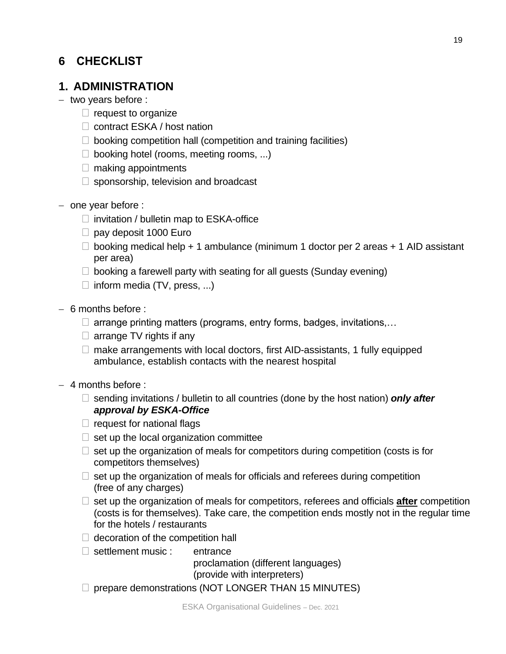# **6 CHECKLIST**

# **1. ADMINISTRATION**

- − two years before :
	- $\Box$  request to organize
	- □ contract ESKA / host nation
	- $\Box$  booking competition hall (competition and training facilities)
	- $\Box$  booking hotel (rooms, meeting rooms, ...)
	- $\Box$  making appointments
	- $\Box$  sponsorship, television and broadcast
- − one year before :
	- $\Box$  invitation / bulletin map to ESKA-office
	- $\Box$  pay deposit 1000 Euro
	- $\Box$  booking medical help + 1 ambulance (minimum 1 doctor per 2 areas + 1 AID assistant per area)
	- $\Box$  booking a farewell party with seating for all guests (Sunday evening)
	- $\Box$  inform media (TV, press, ...)
- − 6 months before :
	- $\Box$  arrange printing matters (programs, entry forms, badges, invitations,...
	- $\Box$  arrange TV rights if any
	- $\Box$  make arrangements with local doctors, first AID-assistants, 1 fully equipped ambulance, establish contacts with the nearest hospital
- − 4 months before :
	- □ sending invitations / bulletin to all countries (done by the host nation) **only after** *approval by ESKA-Office*
	- $\Box$  request for national flags
	- $\Box$  set up the local organization committee
	- $\Box$  set up the organization of meals for competitors during competition (costs is for competitors themselves)
	- $\Box$  set up the organization of meals for officials and referees during competition (free of any charges)
	- $\Box$  set up the organization of meals for competitors, referees and officials **after** competition (costs is for themselves). Take care, the competition ends mostly not in the regular time for the hotels / restaurants
	- $\Box$  decoration of the competition hall
	- $\Box$  settlement music : entrance

proclamation (different languages) (provide with interpreters)

 $\Box$  prepare demonstrations (NOT LONGER THAN 15 MINUTES)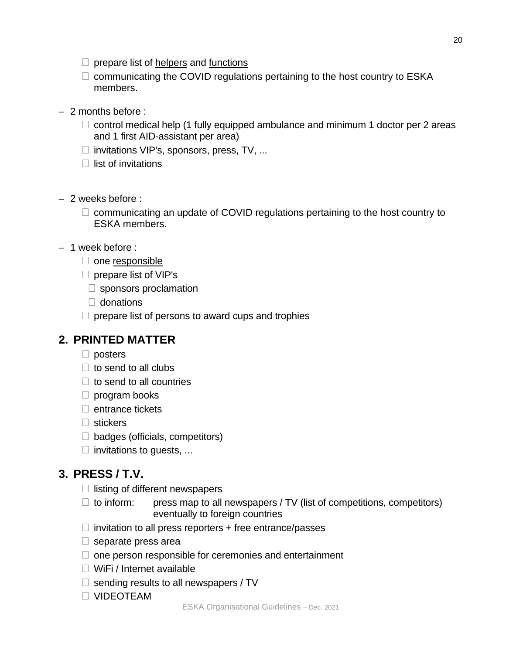- $\Box$  communicating the COVID regulations pertaining to the host country to ESKA members.
- − 2 months before :
	- $\Box$  control medical help (1 fully equipped ambulance and minimum 1 doctor per 2 areas and 1 first AID-assistant per area)
	- $\Box$  invitations VIP's, sponsors, press, TV, ...
	- $\Box$  list of invitations
- − 2 weeks before :
	- $\Box$  communicating an update of COVID regulations pertaining to the host country to ESKA members.
- − 1 week before :
	- $\Box$  one responsible
	- $\Box$  prepare list of VIP's
		- $\Box$  sponsors proclamation
		- $\Box$  donations
	- $\Box$  prepare list of persons to award cups and trophies

# **2. PRINTED MATTER**

- $\Box$  posters
- $\Box$  to send to all clubs
- $\Box$  to send to all countries
- $\Box$  program books
- $\Box$  entrance tickets
- $\Box$  stickers
- $\Box$  badges (officials, competitors)
- $\Box$  invitations to guests, ...

# **3. PRESS / T.V.**

- $\Box$  listing of different newspapers
- $\Box$  to inform: press map to all newspapers / TV (list of competitions, competitors) eventually to foreign countries
- $\Box$  invitation to all press reporters + free entrance/passes
- $\Box$  separate press area
- $\Box$  one person responsible for ceremonies and entertainment
- $\Box$  WiFi / Internet available
- $\Box$  sending results to all newspapers / TV
- VIDEOTEAM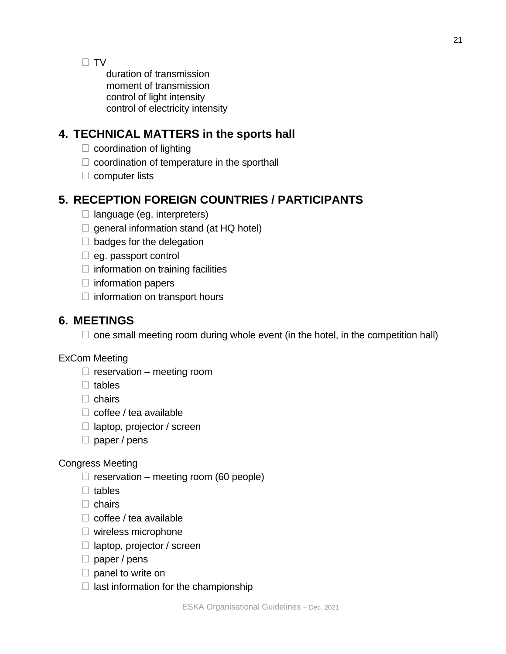$\Box$  TV

duration of transmission moment of transmission control of light intensity control of electricity intensity

# **4. TECHNICAL MATTERS in the sports hall**

- $\Box$  coordination of lighting
- $\Box$  coordination of temperature in the sporthall
- $\Box$  computer lists

# **5. RECEPTION FOREIGN COUNTRIES / PARTICIPANTS**

- $\Box$  language (eg. interpreters)
- $\Box$  general information stand (at HQ hotel)
- $\Box$  badges for the delegation
- $\Box$  eg. passport control
- $\Box$  information on training facilities
- $\Box$  information papers
- $\Box$  information on transport hours

# **6. MEETINGS**

 $\Box$  one small meeting room during whole event (in the hotel, in the competition hall)

# ExCom Meeting

- $\Box$  reservation meeting room
- $\Box$  tables
- $\Box$  chairs
- $\Box$  coffee / tea available
- $\Box$  laptop, projector / screen
- $\Box$  paper / pens

# Congress Meeting

- $\Box$  reservation meeting room (60 people)
- $\Box$  tables
- $\Box$  chairs
- $\Box$  coffee / tea available
- $\Box$  wireless microphone
- $\Box$  laptop, projector / screen
- $\Box$  paper / pens
- $\Box$  panel to write on
- $\Box$  last information for the championship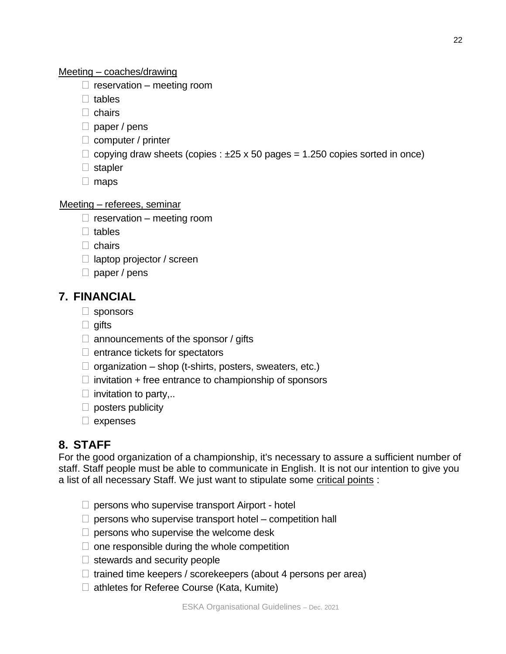#### Meeting – coaches/drawing

- $\Box$  reservation meeting room
- $\Box$  tables
- $\Box$  chairs
- $\Box$  paper / pens
- $\Box$  computer / printer
- $\Box$  copying draw sheets (copies :  $\pm 25 \times 50$  pages = 1.250 copies sorted in once)
- $\Box$  stapler
- $\Box$  maps

#### Meeting – referees, seminar

- $\Box$  reservation meeting room
- $\Box$  tables
- $\Box$  chairs
- $\Box$  laptop projector / screen
- $\Box$  paper / pens

## **7. FINANCIAL**

- □ sponsors
- $\Box$  gifts
- $\Box$  announcements of the sponsor / gifts
- $\Box$  entrance tickets for spectators
- $\Box$  organization shop (t-shirts, posters, sweaters, etc.)
- $\Box$  invitation + free entrance to championship of sponsors
- $\Box$  invitation to party,..
- $\Box$  posters publicity
- $\Box$  expenses

## **8. STAFF**

For the good organization of a championship, it's necessary to assure a sufficient number of staff. Staff people must be able to communicate in English. It is not our intention to give you a list of all necessary Staff. We just want to stipulate some critical points :

- $\Box$  persons who supervise transport Airport hotel
- $\Box$  persons who supervise transport hotel competition hall
- $\Box$  persons who supervise the welcome desk
- $\Box$  one responsible during the whole competition
- $\Box$  stewards and security people
- $\Box$  trained time keepers / scorekeepers (about 4 persons per area)
- $\Box$  athletes for Referee Course (Kata, Kumite)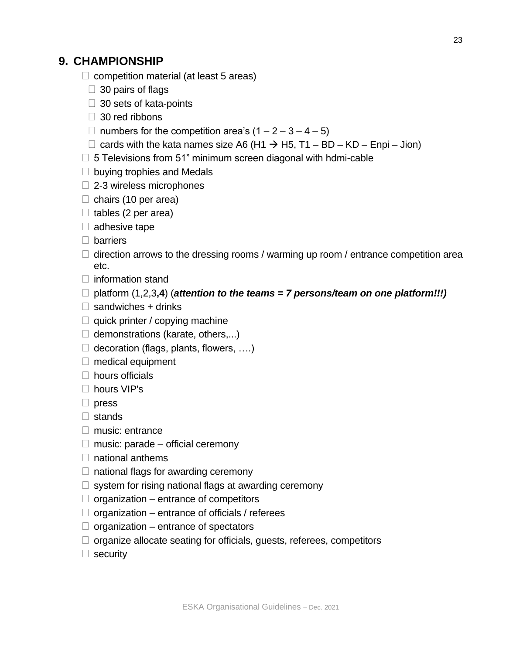# **9. CHAMPIONSHIP**

- $\Box$  competition material (at least 5 areas)
	- $\Box$  30 pairs of flags
	- $\Box$  30 sets of kata-points
	- $\Box$  30 red ribbons
	- □ numbers for the competition area's  $(1 2 3 4 5)$
	- $□$  cards with the kata names size A6 (H1  $\rightarrow$  H5, T1 BD KD Enpi Jion)
- $\Box$  5 Televisions from 51" minimum screen diagonal with hdmi-cable
- $\Box$  buying trophies and Medals
- $\Box$  2-3 wireless microphones
- $\Box$  chairs (10 per area)
- $\Box$  tables (2 per area)
- $\Box$  adhesive tape
- □ barriers
- $\Box$  direction arrows to the dressing rooms / warming up room / entrance competition area etc.
- $\Box$  information stand
- $\Box$  platform (1,2,3,4) (*attention to the teams = 7 persons/team on one platform!!!*)
- $\Box$  sandwiches + drinks
- $\Box$  quick printer / copying machine
- $\Box$  demonstrations (karate, others,...)
- $\Box$  decoration (flags, plants, flowers, ....)
- $\Box$  medical equipment
- $\Box$  hours officials
- □ hours VIP's
- $\Box$  press
- stands
- $\Box$  music: entrance
- $\Box$  music: parade official ceremony
- $\Box$  national anthems
- $\Box$  national flags for awarding ceremony
- $\Box$  system for rising national flags at awarding ceremony
- $\Box$  organization entrance of competitors
- $\Box$  organization entrance of officials / referees
- $\Box$  organization entrance of spectators
- $\Box$  organize allocate seating for officials, guests, referees, competitors
- $\Box$  security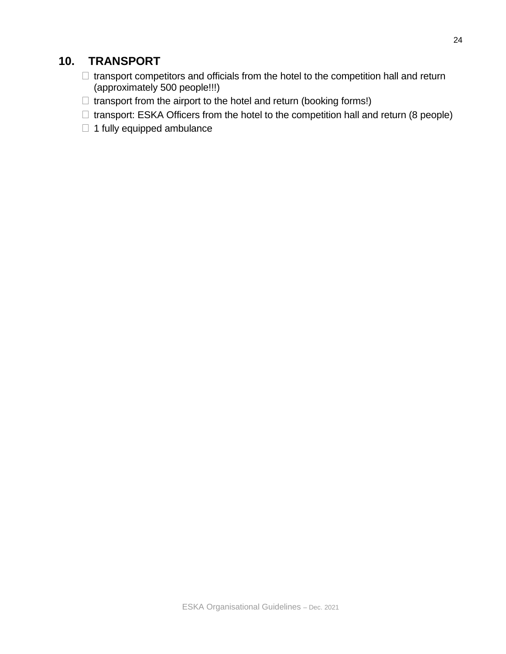# **10. TRANSPORT**

- $\Box$  transport competitors and officials from the hotel to the competition hall and return (approximately 500 people!!!)
- $\Box$  transport from the airport to the hotel and return (booking forms!)
- $\Box$  transport: ESKA Officers from the hotel to the competition hall and return (8 people)
- $\Box$  1 fully equipped ambulance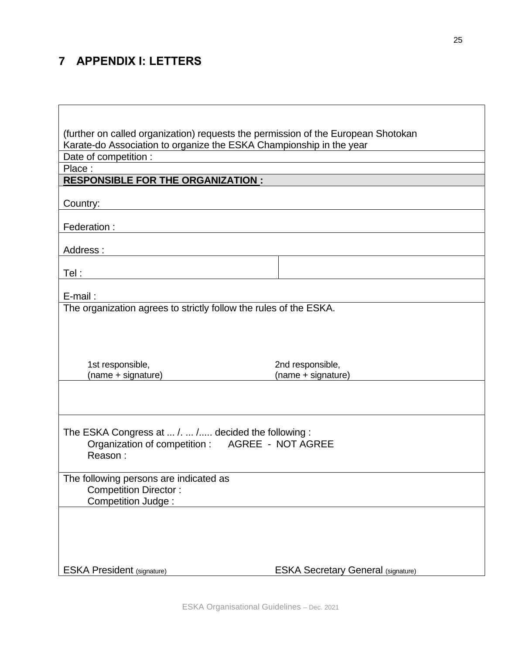# **7 APPENDIX I: LETTERS**

 $\Gamma$ 

| (further on called organization) requests the permission of the European Shotokan |                                               |  |  |  |  |
|-----------------------------------------------------------------------------------|-----------------------------------------------|--|--|--|--|
| Karate-do Association to organize the ESKA Championship in the year               |                                               |  |  |  |  |
| Date of competition :<br>Place:                                                   | <u> 1980 - Jan Samuel Barbara, margaret e</u> |  |  |  |  |
| <b>RESPONSIBLE FOR THE ORGANIZATION:</b>                                          |                                               |  |  |  |  |
|                                                                                   |                                               |  |  |  |  |
| Country:                                                                          |                                               |  |  |  |  |
| Federation:                                                                       |                                               |  |  |  |  |
|                                                                                   |                                               |  |  |  |  |
| Address:                                                                          |                                               |  |  |  |  |
|                                                                                   |                                               |  |  |  |  |
| Tel :                                                                             |                                               |  |  |  |  |
| E-mail:                                                                           |                                               |  |  |  |  |
| The organization agrees to strictly follow the rules of the ESKA.                 |                                               |  |  |  |  |
|                                                                                   |                                               |  |  |  |  |
|                                                                                   |                                               |  |  |  |  |
|                                                                                   |                                               |  |  |  |  |
| 1st responsible,                                                                  | 2nd responsible,                              |  |  |  |  |
| (name + signature)                                                                | (name + signature)                            |  |  |  |  |
|                                                                                   |                                               |  |  |  |  |
|                                                                                   |                                               |  |  |  |  |
|                                                                                   |                                               |  |  |  |  |
| The ESKA Congress at  /.  / decided the following :                               |                                               |  |  |  |  |
| Organization of competition :    AGREE - NOT AGREE                                |                                               |  |  |  |  |
| Reason:                                                                           |                                               |  |  |  |  |
|                                                                                   |                                               |  |  |  |  |
| The following persons are indicated as                                            |                                               |  |  |  |  |
| <b>Competition Director:</b><br>Competition Judge:                                |                                               |  |  |  |  |
|                                                                                   |                                               |  |  |  |  |
|                                                                                   |                                               |  |  |  |  |
|                                                                                   |                                               |  |  |  |  |
|                                                                                   |                                               |  |  |  |  |
|                                                                                   |                                               |  |  |  |  |
| <b>ESKA President (signature)</b>                                                 | <b>ESKA Secretary General (signature)</b>     |  |  |  |  |

┑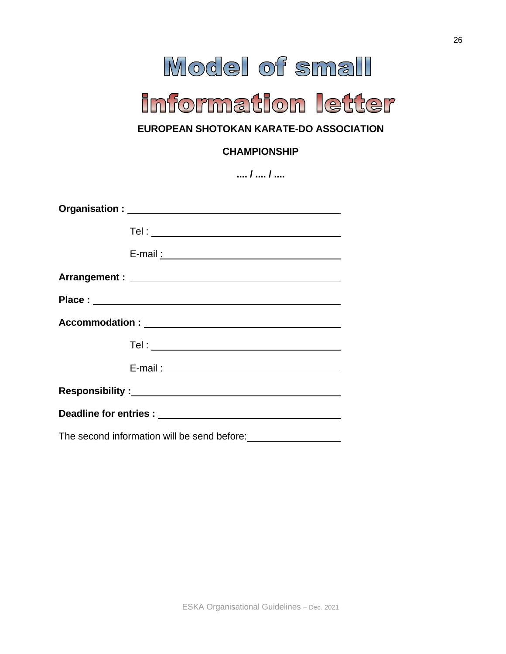# Model of small

# information letter

# **EUROPEAN SHOTOKAN KARATE-DO ASSOCIATION**

## **CHAMPIONSHIP**

| $/$ $/$                                     |
|---------------------------------------------|
|                                             |
|                                             |
|                                             |
|                                             |
|                                             |
|                                             |
|                                             |
| E-mail: 2008. [2010]                        |
|                                             |
|                                             |
| The second information will be send before: |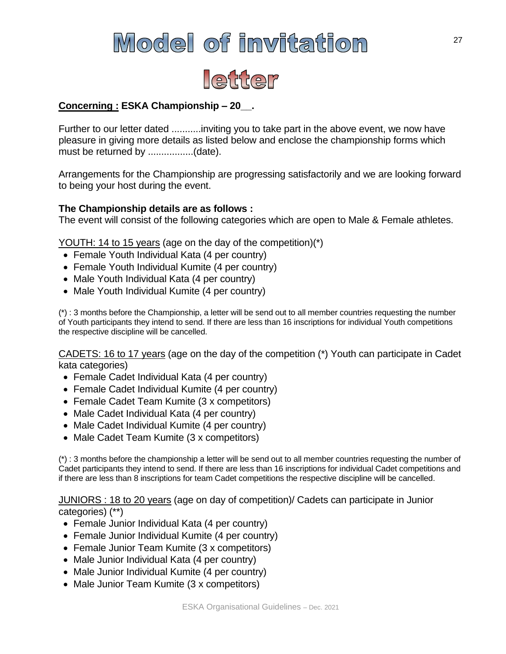# Model of invitation



## **Concerning : ESKA Championship – 20\_\_.**

Further to our letter dated ...........inviting you to take part in the above event, we now have pleasure in giving more details as listed below and enclose the championship forms which must be returned by .................(date).

Arrangements for the Championship are progressing satisfactorily and we are looking forward to being your host during the event.

## **The Championship details are as follows :**

The event will consist of the following categories which are open to Male & Female athletes.

YOUTH: 14 to 15 years (age on the day of the competition)(\*)

- Female Youth Individual Kata (4 per country)
- Female Youth Individual Kumite (4 per country)
- Male Youth Individual Kata (4 per country)
- Male Youth Individual Kumite (4 per country)

(\*) : 3 months before the Championship, a letter will be send out to all member countries requesting the number of Youth participants they intend to send. If there are less than 16 inscriptions for individual Youth competitions the respective discipline will be cancelled.

CADETS: 16 to 17 years (age on the day of the competition (\*) Youth can participate in Cadet kata categories)

- Female Cadet Individual Kata (4 per country)
- Female Cadet Individual Kumite (4 per country)
- Female Cadet Team Kumite (3 x competitors)
- Male Cadet Individual Kata (4 per country)
- Male Cadet Individual Kumite (4 per country)
- Male Cadet Team Kumite (3 x competitors)

(\*) : 3 months before the championship a letter will be send out to all member countries requesting the number of Cadet participants they intend to send. If there are less than 16 inscriptions for individual Cadet competitions and if there are less than 8 inscriptions for team Cadet competitions the respective discipline will be cancelled.

JUNIORS : 18 to 20 years (age on day of competition)/ Cadets can participate in Junior categories) (\*\*)

- Female Junior Individual Kata (4 per country)
- Female Junior Individual Kumite (4 per country)
- Female Junior Team Kumite (3 x competitors)
- Male Junior Individual Kata (4 per country)
- Male Junior Individual Kumite (4 per country)
- Male Junior Team Kumite (3 x competitors)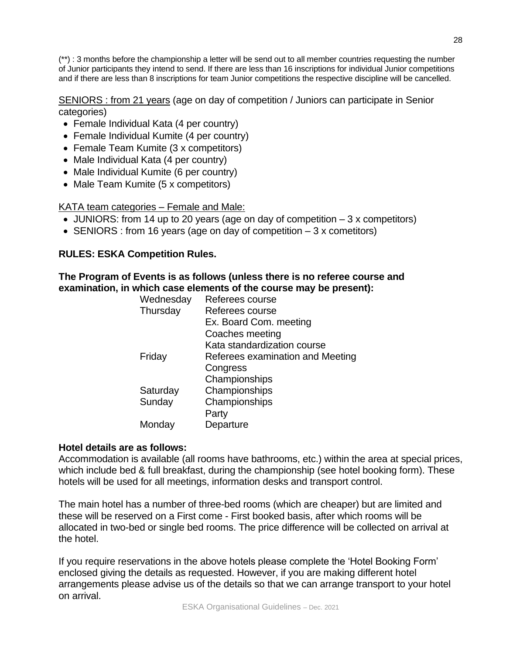(\*\*) : 3 months before the championship a letter will be send out to all member countries requesting the number of Junior participants they intend to send. If there are less than 16 inscriptions for individual Junior competitions and if there are less than 8 inscriptions for team Junior competitions the respective discipline will be cancelled.

SENIORS : from 21 years (age on day of competition / Juniors can participate in Senior categories)

- Female Individual Kata (4 per country)
- Female Individual Kumite (4 per country)
- Female Team Kumite (3 x competitors)
- Male Individual Kata (4 per country)
- Male Individual Kumite (6 per country)
- Male Team Kumite (5 x competitors)

KATA team categories – Female and Male:

- JUNIORS: from 14 up to 20 years (age on day of competition  $-3x$  competitors)
- SENIORS : from 16 years (age on day of competition 3 x cometitors)

## **RULES: ESKA Competition Rules.**

**The Program of Events is as follows (unless there is no referee course and examination, in which case elements of the course may be present):**

| Wednesday | Referees course                  |
|-----------|----------------------------------|
| Thursday  | Referees course                  |
|           | Ex. Board Com. meeting           |
|           | Coaches meeting                  |
|           | Kata standardization course      |
| Friday    | Referees examination and Meeting |
|           | Congress                         |
|           | Championships                    |
| Saturday  | Championships                    |
| Sunday    | Championships                    |
|           | Party                            |
| Monday    | Departure                        |
|           |                                  |

## **Hotel details are as follows:**

Accommodation is available (all rooms have bathrooms, etc.) within the area at special prices, which include bed & full breakfast, during the championship (see hotel booking form). These hotels will be used for all meetings, information desks and transport control.

The main hotel has a number of three-bed rooms (which are cheaper) but are limited and these will be reserved on a First come - First booked basis, after which rooms will be allocated in two-bed or single bed rooms. The price difference will be collected on arrival at the hotel.

If you require reservations in the above hotels please complete the 'Hotel Booking Form' enclosed giving the details as requested. However, if you are making different hotel arrangements please advise us of the details so that we can arrange transport to your hotel on arrival.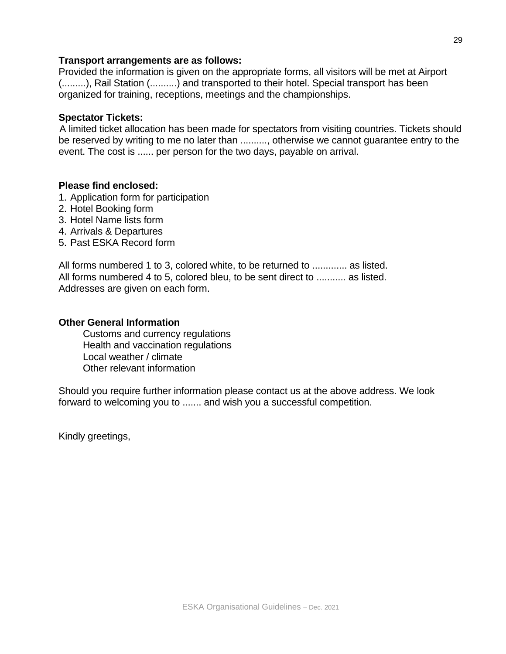#### **Transport arrangements are as follows:**

Provided the information is given on the appropriate forms, all visitors will be met at Airport (.........), Rail Station (..........) and transported to their hotel. Special transport has been organized for training, receptions, meetings and the championships.

#### **Spectator Tickets:**

A limited ticket allocation has been made for spectators from visiting countries. Tickets should be reserved by writing to me no later than .........., otherwise we cannot guarantee entry to the event. The cost is ...... per person for the two days, payable on arrival.

## **Please find enclosed:**

- 1. Application form for participation
- 2. Hotel Booking form
- 3. Hotel Name lists form
- 4. Arrivals & Departures
- 5. Past ESKA Record form

All forms numbered 1 to 3, colored white, to be returned to ............. as listed. All forms numbered 4 to 5, colored bleu, to be sent direct to ........... as listed. Addresses are given on each form.

#### **Other General Information**

Customs and currency regulations Health and vaccination regulations Local weather / climate Other relevant information

Should you require further information please contact us at the above address. We look forward to welcoming you to ....... and wish you a successful competition.

Kindly greetings,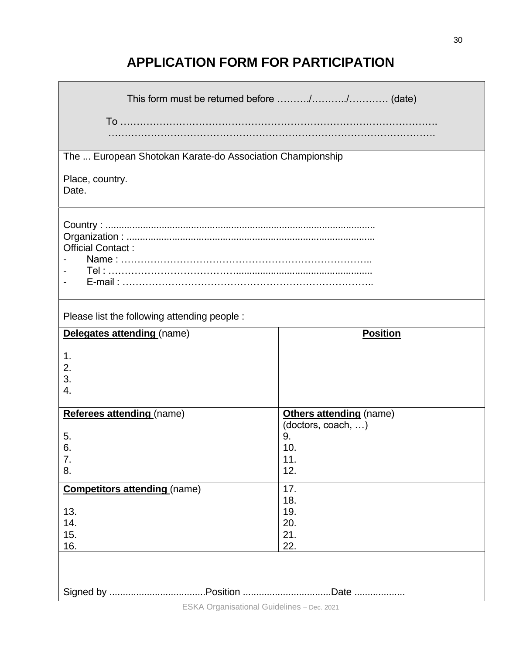# **APPLICATION FORM FOR PARTICIPATION**

| The  European Shotokan Karate-do Association Championship       |                                                                          |  |  |  |  |
|-----------------------------------------------------------------|--------------------------------------------------------------------------|--|--|--|--|
| Place, country.<br>Date.                                        |                                                                          |  |  |  |  |
| <b>Official Contact:</b>                                        |                                                                          |  |  |  |  |
| Please list the following attending people :                    |                                                                          |  |  |  |  |
| Delegates attending (name)                                      | <b>Position</b>                                                          |  |  |  |  |
| 1.<br>2.<br>3.<br>4.                                            |                                                                          |  |  |  |  |
| Referees attending (name)<br>5.<br>6.<br>7.<br>8.               | Others attending (name)<br>(doctors, coach, )<br>9.<br>10.<br>11.<br>12. |  |  |  |  |
| <b>Competitors attending (name)</b><br>13.<br>14.<br>15.<br>16. | 17.<br>18.<br>19.<br>20.<br>21.<br>22.                                   |  |  |  |  |
| .Date                                                           |                                                                          |  |  |  |  |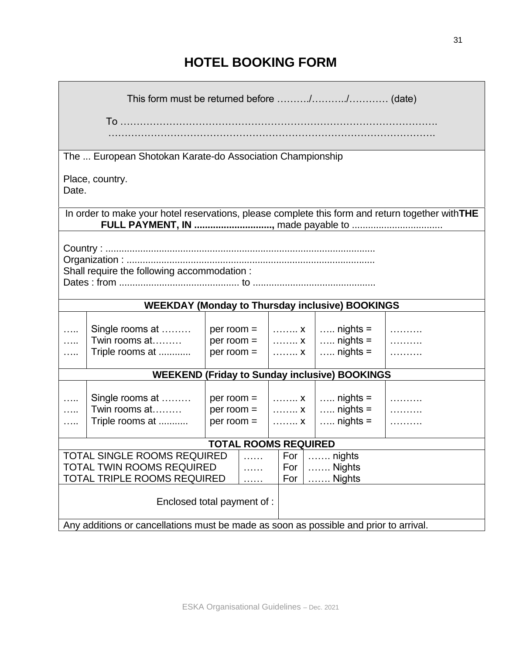# **HOTEL BOOKING FORM**

|                                                                                       | The  European Shotokan Karate-do Association Championship                                        |                |  |  |     |                                                        |  |
|---------------------------------------------------------------------------------------|--------------------------------------------------------------------------------------------------|----------------|--|--|-----|--------------------------------------------------------|--|
| Date.                                                                                 | Place, country.                                                                                  |                |  |  |     |                                                        |  |
|                                                                                       | In order to make your hotel reservations, please complete this form and return together with THE |                |  |  |     |                                                        |  |
|                                                                                       |                                                                                                  |                |  |  |     |                                                        |  |
| Shall require the following accommodation :                                           |                                                                                                  |                |  |  |     |                                                        |  |
|                                                                                       |                                                                                                  |                |  |  |     | <b>WEEKDAY (Monday to Thursday inclusive) BOOKINGS</b> |  |
|                                                                                       |                                                                                                  |                |  |  |     |                                                        |  |
|                                                                                       | Single rooms at                                                                                  |                |  |  |     | per room = $ $ x $ $ nights =                          |  |
|                                                                                       | Twin rooms at<br>Triple rooms at                                                                 | $per$ room $=$ |  |  |     | $x \mid $ nights =<br>$x \mid $ nights =               |  |
|                                                                                       |                                                                                                  | $per$ room $=$ |  |  |     |                                                        |  |
|                                                                                       |                                                                                                  |                |  |  |     | <b>WEEKEND (Friday to Sunday inclusive) BOOKINGS</b>   |  |
|                                                                                       |                                                                                                  |                |  |  |     |                                                        |  |
|                                                                                       | Single rooms at                                                                                  | $per$ room $=$ |  |  |     | $x \mid $ nights =                                     |  |
|                                                                                       | Twin rooms at                                                                                    | $per$ room $=$ |  |  |     | $x \mid$ nights =                                      |  |
|                                                                                       | Triple rooms at                                                                                  | $per$ room $=$ |  |  | . X | $\ldots$ nights =                                      |  |
| <b>TOTAL ROOMS REQUIRED</b>                                                           |                                                                                                  |                |  |  |     |                                                        |  |
| <b>TOTAL SINGLE ROOMS REQUIRED</b><br>$\ldots$ nights<br>For<br>.                     |                                                                                                  |                |  |  |     |                                                        |  |
| <b>TOTAL TWIN ROOMS REQUIRED</b><br>$\ldots$ Nights<br>For                            |                                                                                                  |                |  |  |     |                                                        |  |
| TOTAL TRIPLE ROOMS REQUIRED<br>For<br>$\ldots$ . Nights<br>.                          |                                                                                                  |                |  |  |     |                                                        |  |
| Enclosed total payment of :                                                           |                                                                                                  |                |  |  |     |                                                        |  |
| Any additions or cancellations must be made as soon as possible and prior to arrival. |                                                                                                  |                |  |  |     |                                                        |  |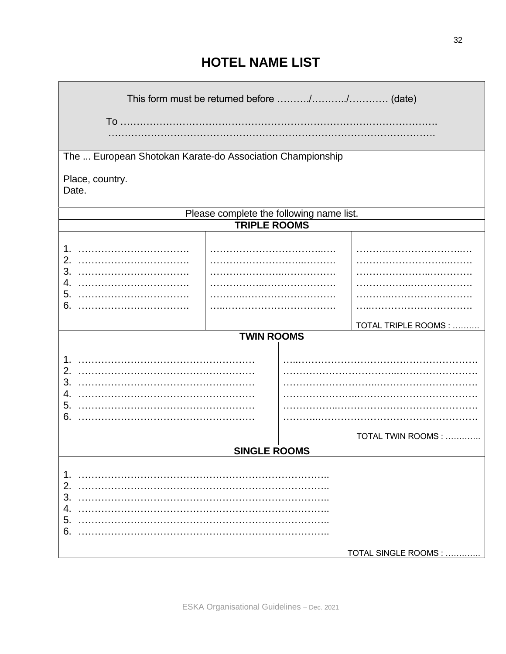# **HOTEL NAME LIST**

| This form must be returned before // (date)               |                                          |  |                      |  |  |  |
|-----------------------------------------------------------|------------------------------------------|--|----------------------|--|--|--|
|                                                           |                                          |  |                      |  |  |  |
| The  European Shotokan Karate-do Association Championship |                                          |  |                      |  |  |  |
| Place, country.<br>Date.                                  |                                          |  |                      |  |  |  |
|                                                           | Please complete the following name list. |  |                      |  |  |  |
|                                                           | <b>TRIPLE ROOMS</b>                      |  |                      |  |  |  |
| 2.<br>3.                                                  |                                          |  |                      |  |  |  |
| 4.                                                        |                                          |  |                      |  |  |  |
| 5.                                                        |                                          |  |                      |  |  |  |
| 6.                                                        |                                          |  |                      |  |  |  |
|                                                           |                                          |  | TOTAL TRIPLE ROOMS : |  |  |  |
|                                                           | <b>TWIN ROOMS</b>                        |  |                      |  |  |  |
| 2.<br>3.<br>4.<br>5.<br>6.                                |                                          |  |                      |  |  |  |
|                                                           |                                          |  | TOTAL TWIN ROOMS :   |  |  |  |
| SINGI E ROOMS                                             |                                          |  |                      |  |  |  |
| 1.<br>2.<br>3.<br>4.<br>5.<br>6.                          |                                          |  |                      |  |  |  |
|                                                           |                                          |  | TOTAL SINGLE ROOMS : |  |  |  |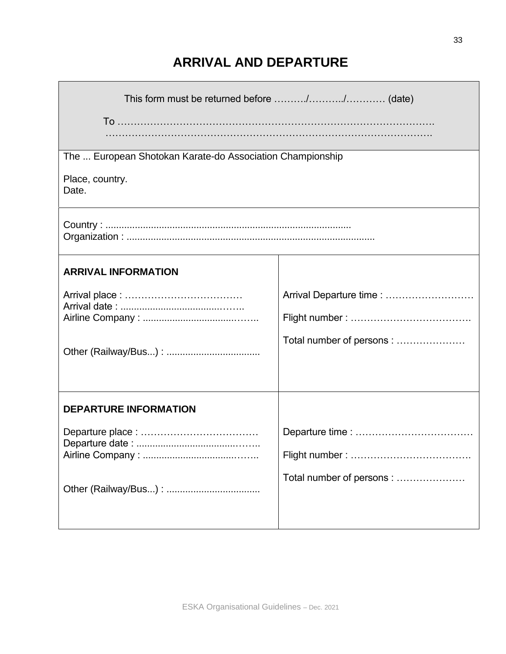# **ARRIVAL AND DEPARTURE**

| The  European Shotokan Karate-do Association Championship |                           |  |  |  |  |
|-----------------------------------------------------------|---------------------------|--|--|--|--|
| Place, country.<br>Date.                                  |                           |  |  |  |  |
|                                                           |                           |  |  |  |  |
| <b>ARRIVAL INFORMATION</b>                                |                           |  |  |  |  |
|                                                           | Arrival Departure time :  |  |  |  |  |
|                                                           |                           |  |  |  |  |
|                                                           |                           |  |  |  |  |
|                                                           | Total number of persons:  |  |  |  |  |
|                                                           |                           |  |  |  |  |
| <b>DEPARTURE INFORMATION</b>                              |                           |  |  |  |  |
|                                                           |                           |  |  |  |  |
|                                                           |                           |  |  |  |  |
|                                                           |                           |  |  |  |  |
|                                                           | Total number of persons : |  |  |  |  |
|                                                           |                           |  |  |  |  |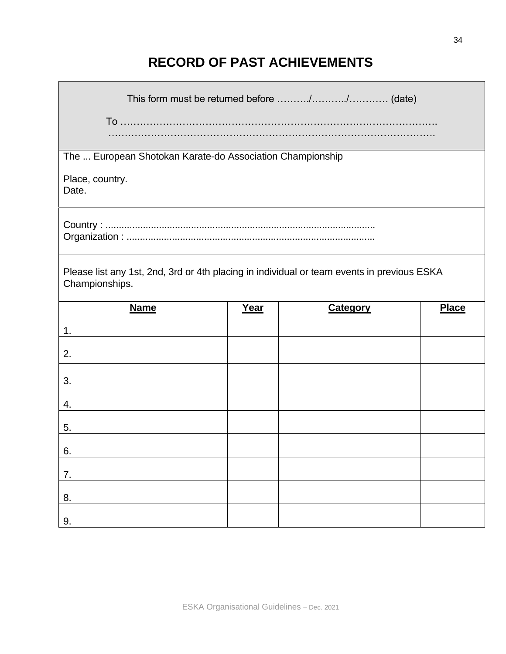# **RECORD OF PAST ACHIEVEMENTS**

| The  European Shotokan Karate-do Association Championship                                                    |      |                 |              |  |  |
|--------------------------------------------------------------------------------------------------------------|------|-----------------|--------------|--|--|
| Place, country.<br>Date.                                                                                     |      |                 |              |  |  |
|                                                                                                              |      |                 |              |  |  |
| Please list any 1st, 2nd, 3rd or 4th placing in individual or team events in previous ESKA<br>Championships. |      |                 |              |  |  |
| <b>Name</b>                                                                                                  | Year | <b>Category</b> | <b>Place</b> |  |  |
| 1.                                                                                                           |      |                 |              |  |  |
| 2.                                                                                                           |      |                 |              |  |  |
| 3.                                                                                                           |      |                 |              |  |  |
| 4.                                                                                                           |      |                 |              |  |  |
| 5.                                                                                                           |      |                 |              |  |  |
| 6                                                                                                            |      |                 |              |  |  |
| 7.                                                                                                           |      |                 |              |  |  |
| 8.                                                                                                           |      |                 |              |  |  |
| 9.                                                                                                           |      |                 |              |  |  |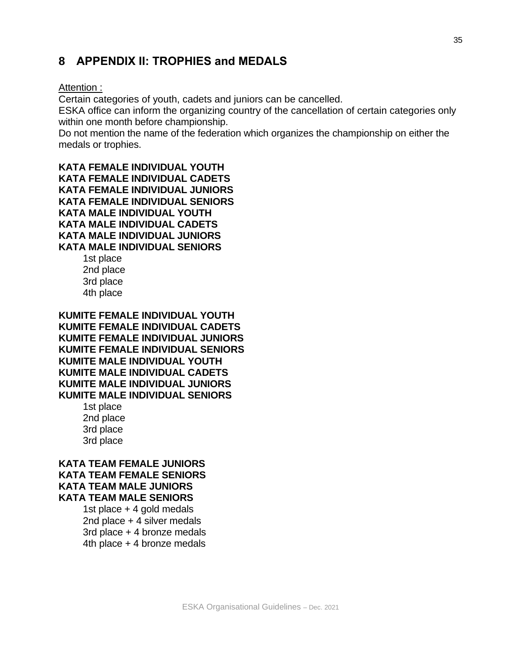# **8 APPENDIX II: TROPHIES and MEDALS**

#### Attention :

Certain categories of youth, cadets and juniors can be cancelled.

ESKA office can inform the organizing country of the cancellation of certain categories only within one month before championship.

Do not mention the name of the federation which organizes the championship on either the medals or trophies.

**KATA FEMALE INDIVIDUAL YOUTH KATA FEMALE INDIVIDUAL CADETS KATA FEMALE INDIVIDUAL JUNIORS KATA FEMALE INDIVIDUAL SENIORS KATA MALE INDIVIDUAL YOUTH KATA MALE INDIVIDUAL CADETS KATA MALE INDIVIDUAL JUNIORS KATA MALE INDIVIDUAL SENIORS**

1st place 2nd place 3rd place 4th place

**KUMITE FEMALE INDIVIDUAL YOUTH KUMITE FEMALE INDIVIDUAL CADETS KUMITE FEMALE INDIVIDUAL JUNIORS KUMITE FEMALE INDIVIDUAL SENIORS KUMITE MALE INDIVIDUAL YOUTH KUMITE MALE INDIVIDUAL CADETS KUMITE MALE INDIVIDUAL JUNIORS KUMITE MALE INDIVIDUAL SENIORS** 1st place 2nd place

3rd place 3rd place

#### **KATA TEAM FEMALE JUNIORS KATA TEAM FEMALE SENIORS KATA TEAM MALE JUNIORS KATA TEAM MALE SENIORS**

1st place + 4 gold medals 2nd place + 4 silver medals 3rd place + 4 bronze medals 4th place + 4 bronze medals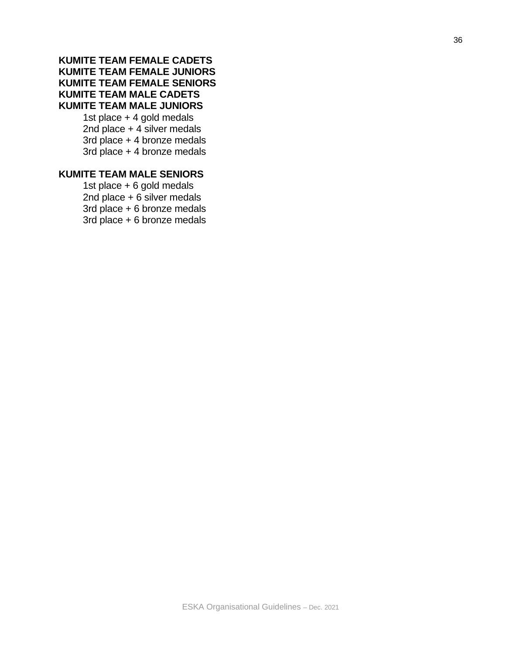## **KUMITE TEAM FEMALE CADETS KUMITE TEAM FEMALE JUNIORS KUMITE TEAM FEMALE SENIORS KUMITE TEAM MALE CADETS KUMITE TEAM MALE JUNIORS**

1st place + 4 gold medals 2nd place + 4 silver medals 3rd place + 4 bronze medals 3rd place + 4 bronze medals

## **KUMITE TEAM MALE SENIORS**

1st place + 6 gold medals 2nd place + 6 silver medals 3rd place + 6 bronze medals 3rd place + 6 bronze medals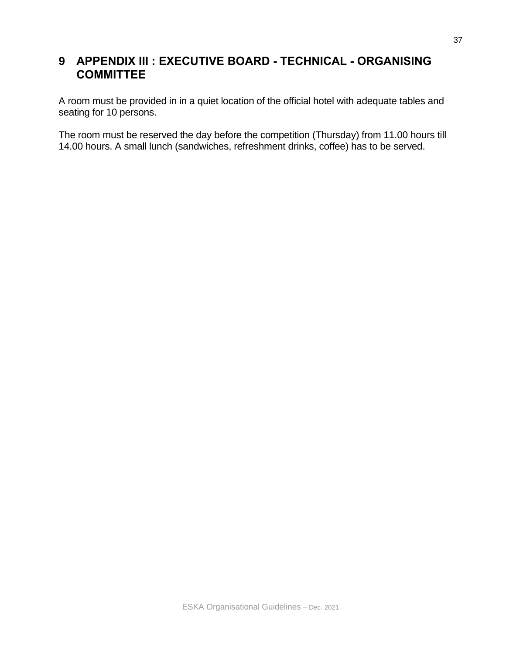# **9 APPENDIX III : EXECUTIVE BOARD - TECHNICAL - ORGANISING COMMITTEE**

A room must be provided in in a quiet location of the official hotel with adequate tables and seating for 10 persons.

The room must be reserved the day before the competition (Thursday) from 11.00 hours till 14.00 hours. A small lunch (sandwiches, refreshment drinks, coffee) has to be served.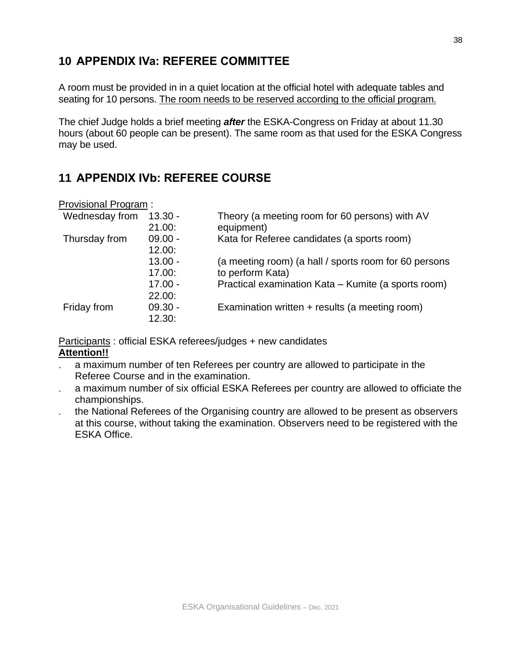# **10 APPENDIX IVa: REFEREE COMMITTEE**

A room must be provided in in a quiet location at the official hotel with adequate tables and seating for 10 persons. The room needs to be reserved according to the official program.

The chief Judge holds a brief meeting *after* the ESKA-Congress on Friday at about 11.30 hours (about 60 people can be present). The same room as that used for the ESKA Congress may be used.

# **11 APPENDIX IVb: REFEREE COURSE**

| Wednesday from | $13.30 -$<br>21.00: | Theory (a meeting room for 60 persons) with AV<br>equipment) |
|----------------|---------------------|--------------------------------------------------------------|
| Thursday from  | $09.00 -$<br>12.00: | Kata for Referee candidates (a sports room)                  |
|                | $13.00 -$           | (a meeting room) (a hall / sports room for 60 persons        |
|                | 17.00:              | to perform Kata)                                             |
|                | $17.00 -$           | Practical examination Kata - Kumite (a sports room)          |
|                | 22.00:              |                                                              |
| Friday from    | $09.30 -$<br>12.30: | Examination written + results (a meeting room)               |

Participants : official ESKA referees/judges + new candidates **Attention!!**

- a maximum number of ten Referees per country are allowed to participate in the Referee Course and in the examination.
- a maximum number of six official ESKA Referees per country are allowed to officiate the championships.
- the National Referees of the Organising country are allowed to be present as observers at this course, without taking the examination. Observers need to be registered with the ESKA Office.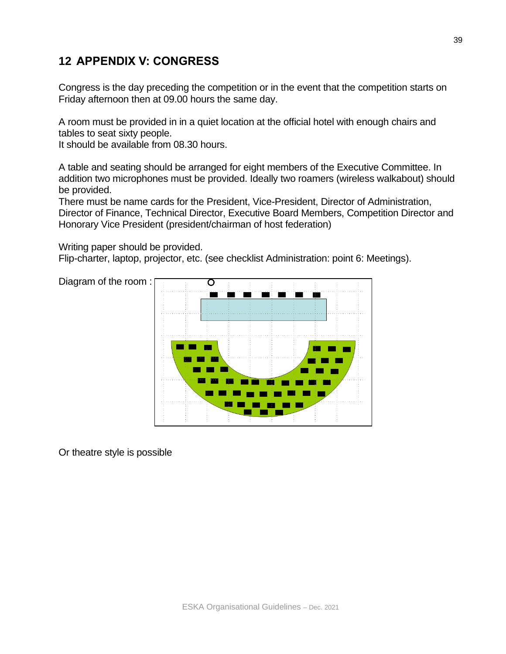# **12 APPENDIX V: CONGRESS**

Congress is the day preceding the competition or in the event that the competition starts on Friday afternoon then at 09.00 hours the same day.

A room must be provided in in a quiet location at the official hotel with enough chairs and tables to seat sixty people.

It should be available from 08.30 hours.

A table and seating should be arranged for eight members of the Executive Committee. In addition two microphones must be provided. Ideally two roamers (wireless walkabout) should be provided.

There must be name cards for the President, Vice-President, Director of Administration, Director of Finance, Technical Director, Executive Board Members, Competition Director and Honorary Vice President (president/chairman of host federation)

Writing paper should be provided.

Flip-charter, laptop, projector, etc. (see checklist Administration: point 6: Meetings).



Or theatre style is possible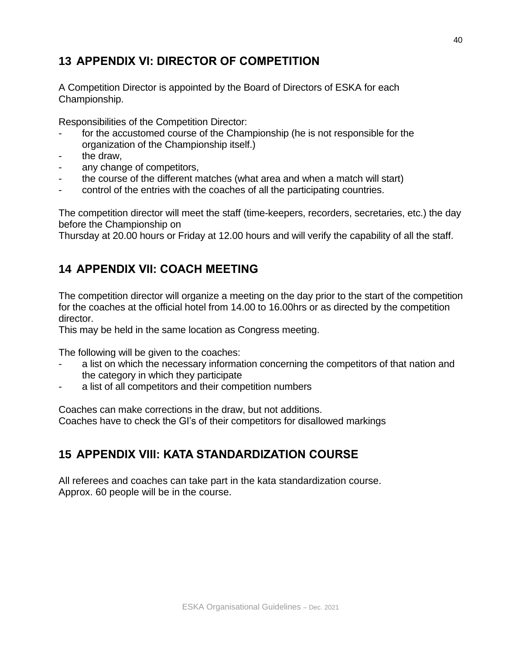# **13 APPENDIX VI: DIRECTOR OF COMPETITION**

A Competition Director is appointed by the Board of Directors of ESKA for each Championship.

Responsibilities of the Competition Director:

- for the accustomed course of the Championship (he is not responsible for the organization of the Championship itself.)
- the draw.
- any change of competitors,
- the course of the different matches (what area and when a match will start)
- control of the entries with the coaches of all the participating countries.

The competition director will meet the staff (time-keepers, recorders, secretaries, etc.) the day before the Championship on

Thursday at 20.00 hours or Friday at 12.00 hours and will verify the capability of all the staff.

# **14 APPENDIX VII: COACH MEETING**

The competition director will organize a meeting on the day prior to the start of the competition for the coaches at the official hotel from 14.00 to 16.00hrs or as directed by the competition director.

This may be held in the same location as Congress meeting.

The following will be given to the coaches:

- a list on which the necessary information concerning the competitors of that nation and the category in which they participate
- a list of all competitors and their competition numbers

Coaches can make corrections in the draw, but not additions. Coaches have to check the GI's of their competitors for disallowed markings

# **15 APPENDIX VIII: KATA STANDARDIZATION COURSE**

All referees and coaches can take part in the kata standardization course. Approx. 60 people will be in the course.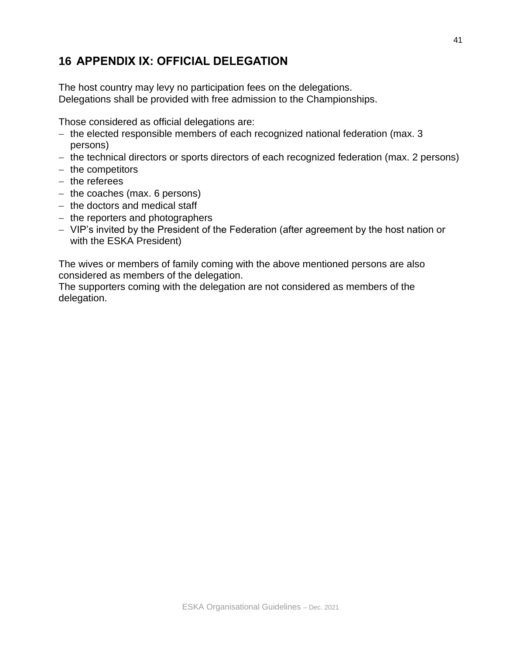# **16 APPENDIX IX: OFFICIAL DELEGATION**

The host country may levy no participation fees on the delegations. Delegations shall be provided with free admission to the Championships.

Those considered as official delegations are:

- − the elected responsible members of each recognized national federation (max. 3 persons)
- − the technical directors or sports directors of each recognized federation (max. 2 persons)
- − the competitors
- − the referees
- − the coaches (max. 6 persons)
- − the doctors and medical staff
- − the reporters and photographers
- − VIP's invited by the President of the Federation (after agreement by the host nation or with the ESKA President)

The wives or members of family coming with the above mentioned persons are also considered as members of the delegation.

The supporters coming with the delegation are not considered as members of the delegation.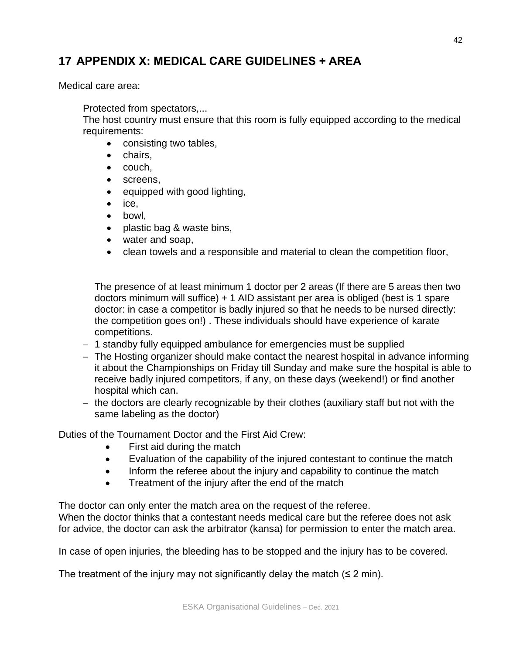# **17 APPENDIX X: MEDICAL CARE GUIDELINES + AREA**

Medical care area:

Protected from spectators,...

The host country must ensure that this room is fully equipped according to the medical requirements:

- consisting two tables,
- chairs,
- couch,
- screens,
- equipped with good lighting,
- ice,
- bowl,
- plastic bag & waste bins,
- water and soap,
- clean towels and a responsible and material to clean the competition floor,

The presence of at least minimum 1 doctor per 2 areas (If there are 5 areas then two doctors minimum will suffice) + 1 AID assistant per area is obliged (best is 1 spare doctor: in case a competitor is badly injured so that he needs to be nursed directly: the competition goes on!) . These individuals should have experience of karate competitions.

- − 1 standby fully equipped ambulance for emergencies must be supplied
- − The Hosting organizer should make contact the nearest hospital in advance informing it about the Championships on Friday till Sunday and make sure the hospital is able to receive badly injured competitors, if any, on these days (weekend!) or find another hospital which can.
- − the doctors are clearly recognizable by their clothes (auxiliary staff but not with the same labeling as the doctor)

Duties of the Tournament Doctor and the First Aid Crew:

- First aid during the match
- Evaluation of the capability of the injured contestant to continue the match
- Inform the referee about the injury and capability to continue the match
- Treatment of the injury after the end of the match

The doctor can only enter the match area on the request of the referee.

When the doctor thinks that a contestant needs medical care but the referee does not ask for advice, the doctor can ask the arbitrator (kansa) for permission to enter the match area.

In case of open injuries, the bleeding has to be stopped and the injury has to be covered.

The treatment of the injury may not significantly delay the match  $(\leq 2 \text{ min})$ .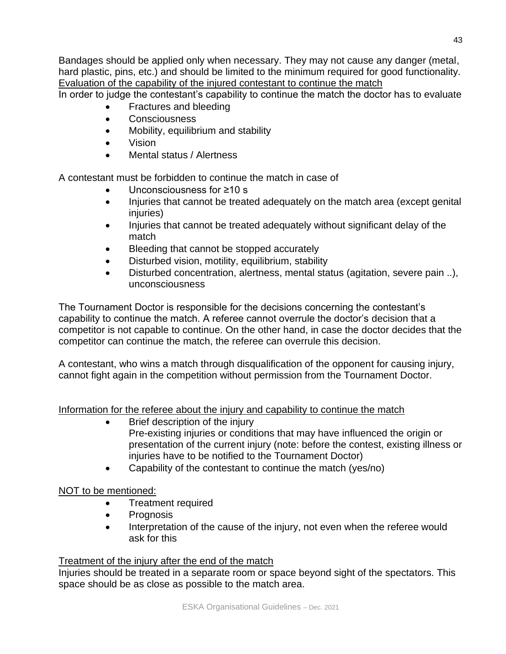Bandages should be applied only when necessary. They may not cause any danger (metal, hard plastic, pins, etc.) and should be limited to the minimum required for good functionality. Evaluation of the capability of the injured contestant to continue the match

In order to judge the contestant's capability to continue the match the doctor has to evaluate

- Fractures and bleeding
- Consciousness
- Mobility, equilibrium and stability
- Vision
- Mental status / Alertness

A contestant must be forbidden to continue the match in case of

- Unconsciousness for ≥10 s
- Injuries that cannot be treated adequately on the match area (except genital injuries)
- Injuries that cannot be treated adequately without significant delay of the match
- Bleeding that cannot be stopped accurately
- Disturbed vision, motility, equilibrium, stability
- Disturbed concentration, alertness, mental status (agitation, severe pain ..), unconsciousness

The Tournament Doctor is responsible for the decisions concerning the contestant's capability to continue the match. A referee cannot overrule the doctor's decision that a competitor is not capable to continue. On the other hand, in case the doctor decides that the competitor can continue the match, the referee can overrule this decision.

A contestant, who wins a match through disqualification of the opponent for causing injury, cannot fight again in the competition without permission from the Tournament Doctor.

Information for the referee about the injury and capability to continue the match

- Brief description of the injury Pre-existing injuries or conditions that may have influenced the origin or presentation of the current injury (note: before the contest, existing illness or injuries have to be notified to the Tournament Doctor)
- Capability of the contestant to continue the match (yes/no)

## NOT to be mentioned:

- Treatment required
- Prognosis
- Interpretation of the cause of the injury, not even when the referee would ask for this

## Treatment of the injury after the end of the match

Injuries should be treated in a separate room or space beyond sight of the spectators. This space should be as close as possible to the match area.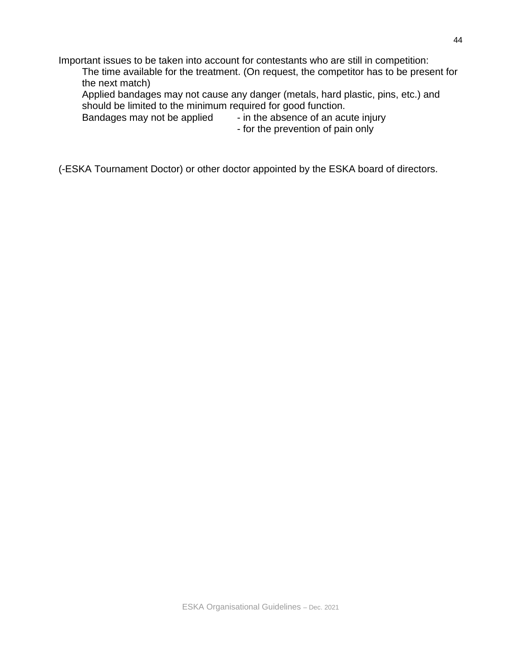Important issues to be taken into account for contestants who are still in competition:

The time available for the treatment. (On request, the competitor has to be present for the next match)

Applied bandages may not cause any danger (metals, hard plastic, pins, etc.) and should be limited to the minimum required for good function.

Bandages may not be applied - in the absence of an acute injury

- for the prevention of pain only

(-ESKA Tournament Doctor) or other doctor appointed by the ESKA board of directors.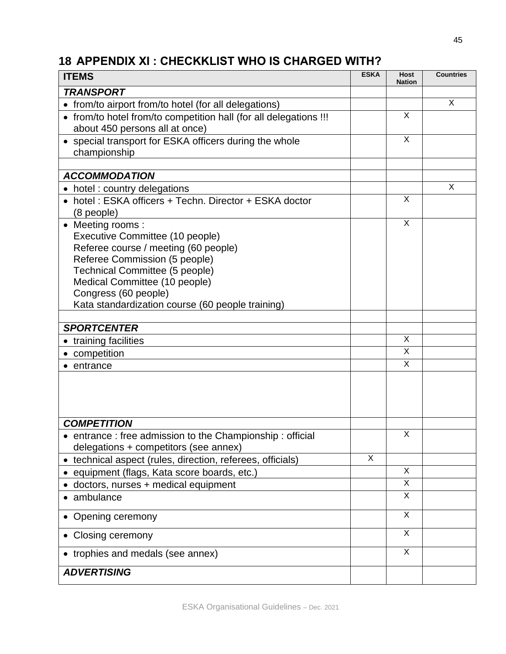# **18 APPENDIX XI : CHECKKLIST WHO IS CHARGED WITH?**

| <b>ITEMS</b>                                                                                        | <b>ESKA</b> | Host<br><b>Nation</b> | <b>Countries</b> |
|-----------------------------------------------------------------------------------------------------|-------------|-----------------------|------------------|
| <b>TRANSPORT</b>                                                                                    |             |                       |                  |
| from/to airport from/to hotel (for all delegations)                                                 |             |                       | X                |
| • from/to hotel from/to competition hall (for all delegations !!!<br>about 450 persons all at once) |             | X                     |                  |
| • special transport for ESKA officers during the whole<br>championship                              |             | X                     |                  |
| <b>ACCOMMODATION</b>                                                                                |             |                       |                  |
| hotel: country delegations                                                                          |             |                       | X                |
| hotel: ESKA officers + Techn. Director + ESKA doctor<br>(8 people)                                  |             | X                     |                  |
| Meeting rooms:                                                                                      |             | X                     |                  |
| Executive Committee (10 people)                                                                     |             |                       |                  |
| Referee course / meeting (60 people)                                                                |             |                       |                  |
| Referee Commission (5 people)                                                                       |             |                       |                  |
| Technical Committee (5 people)                                                                      |             |                       |                  |
| Medical Committee (10 people)                                                                       |             |                       |                  |
| Congress (60 people)                                                                                |             |                       |                  |
| Kata standardization course (60 people training)                                                    |             |                       |                  |
|                                                                                                     |             |                       |                  |
| <b>SPORTCENTER</b>                                                                                  |             | X                     |                  |
| training facilities                                                                                 |             | X                     |                  |
| competition                                                                                         |             | X                     |                  |
| entrance                                                                                            |             |                       |                  |
|                                                                                                     |             |                       |                  |
| <b>COMPETITION</b>                                                                                  |             |                       |                  |
| • entrance: free admission to the Championship: official<br>delegations + competitors (see annex)   |             | X                     |                  |
| technical aspect (rules, direction, referees, officials)                                            | X           |                       |                  |
| equipment (flags, Kata score boards, etc.)                                                          |             | X                     |                  |
| doctors, nurses + medical equipment                                                                 |             | X                     |                  |
| ambulance                                                                                           |             | X                     |                  |
| Opening ceremony                                                                                    |             | $\overline{X}$        |                  |
| Closing ceremony                                                                                    |             | $\times$              |                  |
| trophies and medals (see annex)                                                                     |             | X                     |                  |
| <b>ADVERTISING</b>                                                                                  |             |                       |                  |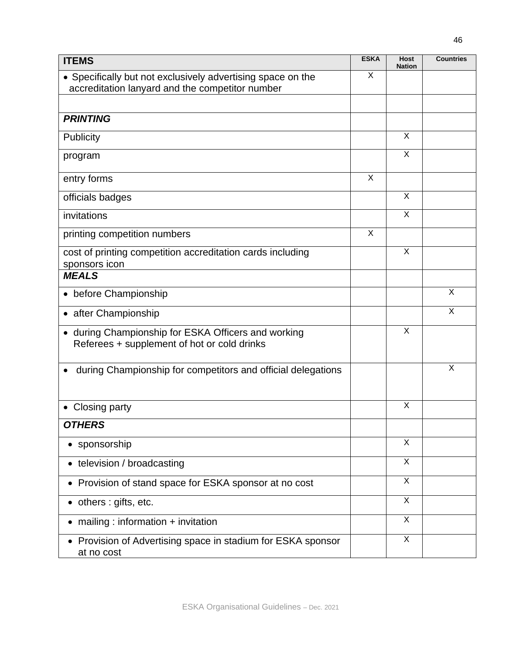| <b>ITEMS</b>                                                                                                   | <b>ESKA</b> | <b>Host</b><br><b>Nation</b> | <b>Countries</b> |
|----------------------------------------------------------------------------------------------------------------|-------------|------------------------------|------------------|
| • Specifically but not exclusively advertising space on the<br>accreditation lanyard and the competitor number | X           |                              |                  |
|                                                                                                                |             |                              |                  |
| <b>PRINTING</b>                                                                                                |             |                              |                  |
| Publicity                                                                                                      |             | X                            |                  |
| program                                                                                                        |             | $\overline{X}$               |                  |
| entry forms                                                                                                    | X           |                              |                  |
| officials badges                                                                                               |             | X                            |                  |
| invitations                                                                                                    |             | $\overline{\mathsf{x}}$      |                  |
| printing competition numbers                                                                                   | X           |                              |                  |
| cost of printing competition accreditation cards including<br>sponsors icon                                    |             | X                            |                  |
| <b>MEALS</b>                                                                                                   |             |                              |                  |
| before Championship                                                                                            |             |                              | X                |
| after Championship                                                                                             |             |                              | X                |
| • during Championship for ESKA Officers and working<br>Referees + supplement of hot or cold drinks             |             | X                            |                  |
| during Championship for competitors and official delegations                                                   |             |                              | X                |
| <b>Closing party</b>                                                                                           |             | X                            |                  |
| <b>OTHERS</b>                                                                                                  |             |                              |                  |
| • sponsorship                                                                                                  |             | X                            |                  |
| • television / broadcasting                                                                                    |             | X                            |                  |
| • Provision of stand space for ESKA sponsor at no cost                                                         |             | X                            |                  |
| • others : gifts, etc.                                                                                         |             | X                            |                  |
| • mailing : information + invitation                                                                           |             | X                            |                  |
| • Provision of Advertising space in stadium for ESKA sponsor<br>at no cost                                     |             | X                            |                  |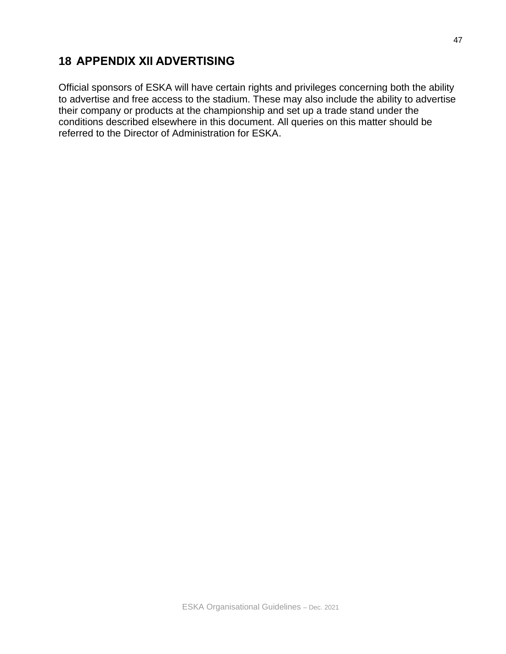# **18 APPENDIX XII ADVERTISING**

Official sponsors of ESKA will have certain rights and privileges concerning both the ability to advertise and free access to the stadium. These may also include the ability to advertise their company or products at the championship and set up a trade stand under the conditions described elsewhere in this document. All queries on this matter should be referred to the Director of Administration for ESKA.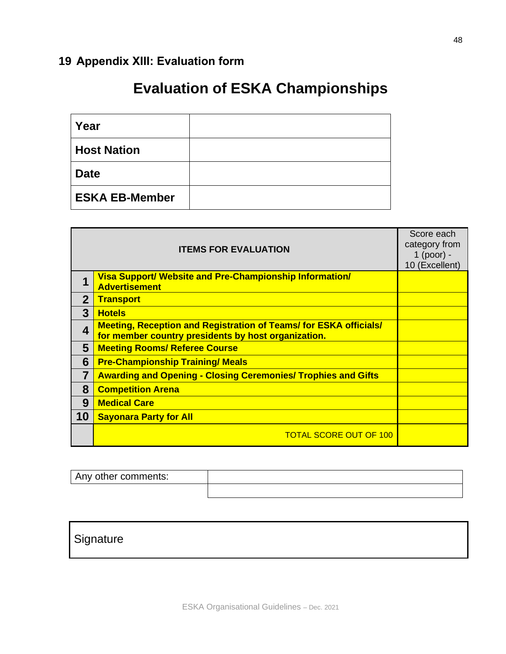# **19 Appendix XIII: Evaluation form**

# **Evaluation of ESKA Championships**

| Year                  |  |
|-----------------------|--|
| <b>Host Nation</b>    |  |
| <b>Date</b>           |  |
| <b>ESKA EB-Member</b> |  |

|              | <b>ITEMS FOR EVALUATION</b>                                                                                                     | Score each<br>category from<br>1 (poor) -<br>10 (Excellent) |
|--------------|---------------------------------------------------------------------------------------------------------------------------------|-------------------------------------------------------------|
|              | <b>Visa Support/ Website and Pre-Championship Information/</b><br><b>Advertisement</b>                                          |                                                             |
| $\mathbf{2}$ | <b>Transport</b>                                                                                                                |                                                             |
| 3            | <b>Hotels</b>                                                                                                                   |                                                             |
| 4            | <b>Meeting, Reception and Registration of Teams/ for ESKA officials/</b><br>for member country presidents by host organization. |                                                             |
| 5            | <b>Meeting Rooms/ Referee Course</b>                                                                                            |                                                             |
| 6            | <b>Pre-Championship Training/ Meals</b>                                                                                         |                                                             |
| 7            | <b>Awarding and Opening - Closing Ceremonies/ Trophies and Gifts</b>                                                            |                                                             |
| 8            | <b>Competition Arena</b>                                                                                                        |                                                             |
| 9            | <b>Medical Care</b>                                                                                                             |                                                             |
| 10           | <b>Sayonara Party for All</b>                                                                                                   |                                                             |
|              | <b>TOTAL SCORE OUT OF 100</b>                                                                                                   |                                                             |

| Any other comments: |  |
|---------------------|--|
|                     |  |

# **Signature**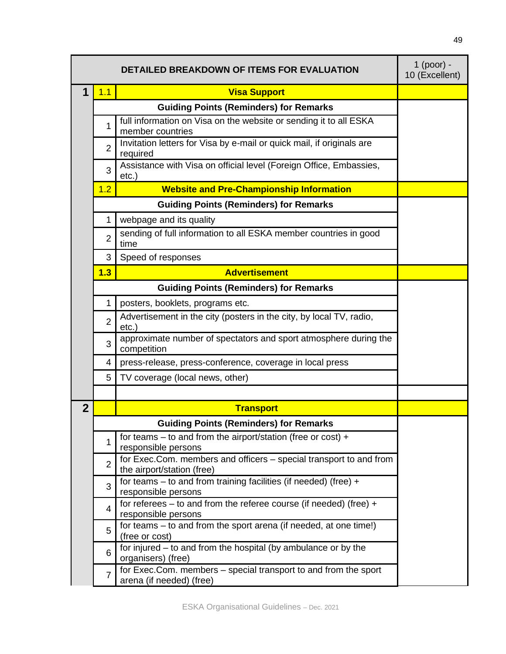|                |                | <b>DETAILED BREAKDOWN OF ITEMS FOR EVALUATION</b>                                                | $1$ (poor) -<br>10 (Excellent) |
|----------------|----------------|--------------------------------------------------------------------------------------------------|--------------------------------|
| 1              | 1.1            | <b>Visa Support</b>                                                                              |                                |
|                |                | <b>Guiding Points (Reminders) for Remarks</b>                                                    |                                |
|                | 1              | full information on Visa on the website or sending it to all ESKA<br>member countries            |                                |
|                | $\overline{2}$ | Invitation letters for Visa by e-mail or quick mail, if originals are<br>required                |                                |
|                | 3              | Assistance with Visa on official level (Foreign Office, Embassies,<br>$etc.$ )                   |                                |
|                | 1.2            | <b>Website and Pre-Championship Information</b>                                                  |                                |
|                |                | <b>Guiding Points (Reminders) for Remarks</b>                                                    |                                |
|                | 1              | webpage and its quality                                                                          |                                |
|                | $\overline{2}$ | sending of full information to all ESKA member countries in good<br>time                         |                                |
|                | 3              | Speed of responses                                                                               |                                |
|                | 1.3            | <b>Advertisement</b>                                                                             |                                |
|                |                | <b>Guiding Points (Reminders) for Remarks</b>                                                    |                                |
|                | 1              | posters, booklets, programs etc.                                                                 |                                |
|                | $\overline{2}$ | Advertisement in the city (posters in the city, by local TV, radio,<br>$etc.$ )                  |                                |
|                | 3              | approximate number of spectators and sport atmosphere during the<br>competition                  |                                |
|                | 4              | press-release, press-conference, coverage in local press                                         |                                |
|                | 5              | TV coverage (local news, other)                                                                  |                                |
|                |                |                                                                                                  |                                |
| $\overline{2}$ |                | <b>Transport</b>                                                                                 |                                |
|                |                | <b>Guiding Points (Reminders) for Remarks</b>                                                    |                                |
|                | 1              | for teams – to and from the airport/station (free or cost) +<br>responsible persons              |                                |
|                | $\overline{2}$ | for Exec.Com. members and officers - special transport to and from<br>the airport/station (free) |                                |
|                | 3              | for teams $-$ to and from training facilities (if needed) (free) $+$<br>responsible persons      |                                |
|                | $\overline{4}$ | for referees - to and from the referee course (if needed) (free) +<br>responsible persons        |                                |
|                | 5              | for teams – to and from the sport arena (if needed, at one time!)<br>(free or cost)              |                                |
|                | 6              | for injured – to and from the hospital (by ambulance or by the<br>organisers) (free)             |                                |
|                | $\overline{7}$ | for Exec.Com. members - special transport to and from the sport<br>arena (if needed) (free)      |                                |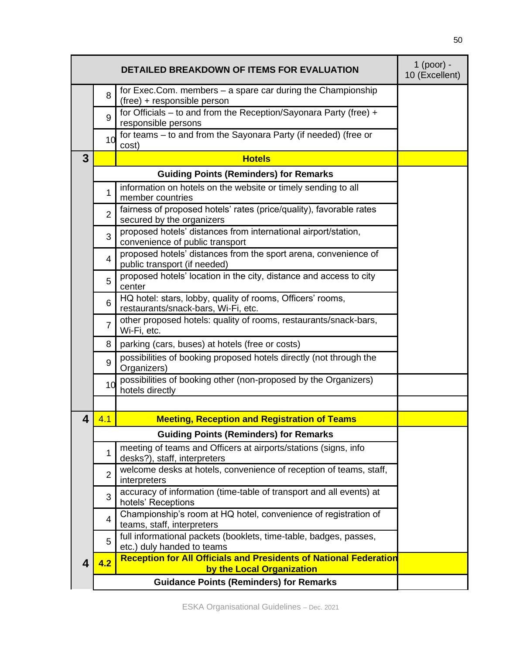|   |                | DETAILED BREAKDOWN OF ITEMS FOR EVALUATION                                                            | $1$ (poor) -<br>10 (Excellent) |
|---|----------------|-------------------------------------------------------------------------------------------------------|--------------------------------|
|   | 8              | for Exec.Com. members - a spare car during the Championship<br>(free) + responsible person            |                                |
|   | 9              | for Officials – to and from the Reception/Sayonara Party (free) +<br>responsible persons              |                                |
|   | 10             | for teams - to and from the Sayonara Party (if needed) (free or<br>cost)                              |                                |
| 3 |                | <b>Hotels</b>                                                                                         |                                |
|   |                | <b>Guiding Points (Reminders) for Remarks</b>                                                         |                                |
|   | 1              | information on hotels on the website or timely sending to all<br>member countries                     |                                |
|   | $\overline{2}$ | fairness of proposed hotels' rates (price/quality), favorable rates<br>secured by the organizers      |                                |
|   | 3              | proposed hotels' distances from international airport/station,<br>convenience of public transport     |                                |
|   | $\overline{4}$ | proposed hotels' distances from the sport arena, convenience of<br>public transport (if needed)       |                                |
|   | 5              | proposed hotels' location in the city, distance and access to city<br>center                          |                                |
|   | 6              | HQ hotel: stars, lobby, quality of rooms, Officers' rooms,<br>restaurants/snack-bars, Wi-Fi, etc.     |                                |
|   | $\overline{7}$ | other proposed hotels: quality of rooms, restaurants/snack-bars,<br>Wi-Fi, etc.                       |                                |
|   | 8              | parking (cars, buses) at hotels (free or costs)                                                       |                                |
|   | 9              | possibilities of booking proposed hotels directly (not through the<br>Organizers)                     |                                |
|   | 10             | possibilities of booking other (non-proposed by the Organizers)<br>hotels directly                    |                                |
|   |                |                                                                                                       |                                |
| 4 | 4.1            | <b>Meeting, Reception and Registration of Teams</b>                                                   |                                |
|   |                | <b>Guiding Points (Reminders) for Remarks</b>                                                         |                                |
|   | 1              | meeting of teams and Officers at airports/stations (signs, info<br>desks?), staff, interpreters       |                                |
|   | $\overline{2}$ | welcome desks at hotels, convenience of reception of teams, staff,<br>interpreters                    |                                |
|   | 3              | accuracy of information (time-table of transport and all events) at<br>hotels' Receptions             |                                |
|   | 4              | Championship's room at HQ hotel, convenience of registration of<br>teams, staff, interpreters         |                                |
|   | 5              | full informational packets (booklets, time-table, badges, passes,<br>etc.) duly handed to teams       |                                |
| 4 | 4.2            | <b>Reception for All Officials and Presidents of National Federation</b><br>by the Local Organization |                                |
|   |                | <b>Guidance Points (Reminders) for Remarks</b>                                                        |                                |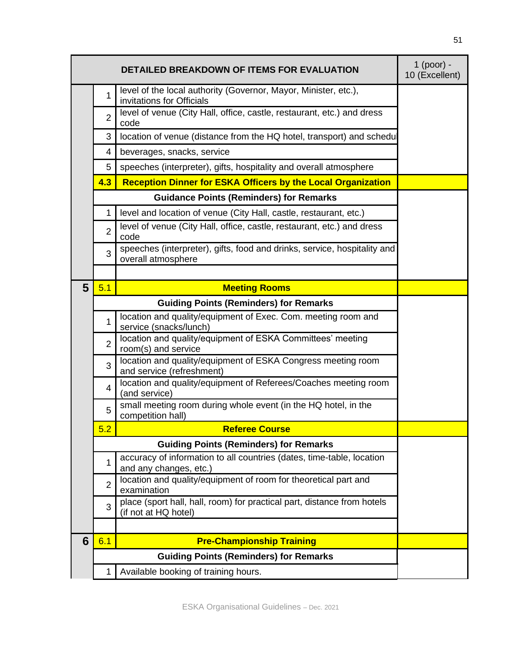|                |                | <b>DETAILED BREAKDOWN OF ITEMS FOR EVALUATION</b>                                               | $1$ (poor) -<br>10 (Excellent) |
|----------------|----------------|-------------------------------------------------------------------------------------------------|--------------------------------|
|                | 1              | level of the local authority (Governor, Mayor, Minister, etc.),<br>invitations for Officials    |                                |
|                | $\overline{2}$ | level of venue (City Hall, office, castle, restaurant, etc.) and dress<br>code                  |                                |
|                | 3              | location of venue (distance from the HQ hotel, transport) and schedu                            |                                |
|                | 4              | beverages, snacks, service                                                                      |                                |
|                | 5              | speeches (interpreter), gifts, hospitality and overall atmosphere                               |                                |
|                | 4.3            | <b>Reception Dinner for ESKA Officers by the Local Organization</b>                             |                                |
|                |                | <b>Guidance Points (Reminders) for Remarks</b>                                                  |                                |
|                | 1              | level and location of venue (City Hall, castle, restaurant, etc.)                               |                                |
|                | $\overline{2}$ | level of venue (City Hall, office, castle, restaurant, etc.) and dress<br>code                  |                                |
|                | 3              | speeches (interpreter), gifts, food and drinks, service, hospitality and<br>overall atmosphere  |                                |
|                |                |                                                                                                 |                                |
| $5\phantom{1}$ | 5.1            | <b>Meeting Rooms</b>                                                                            |                                |
|                |                | <b>Guiding Points (Reminders) for Remarks</b>                                                   |                                |
|                | 1              | location and quality/equipment of Exec. Com. meeting room and<br>service (snacks/lunch)         |                                |
|                | $\overline{2}$ | location and quality/equipment of ESKA Committees' meeting<br>room(s) and service               |                                |
|                | 3              | location and quality/equipment of ESKA Congress meeting room<br>and service (refreshment)       |                                |
|                | $\overline{4}$ | location and quality/equipment of Referees/Coaches meeting room<br>(and service)                |                                |
|                | 5              | small meeting room during whole event (in the HQ hotel, in the<br>competition hall)             |                                |
|                | 5.2            | <b>Referee Course</b>                                                                           |                                |
|                |                | <b>Guiding Points (Reminders) for Remarks</b>                                                   |                                |
|                | 1              | accuracy of information to all countries (dates, time-table, location<br>and any changes, etc.) |                                |
|                | $\overline{2}$ | location and quality/equipment of room for theoretical part and<br>examination                  |                                |
|                | 3              | place (sport hall, hall, room) for practical part, distance from hotels<br>(if not at HQ hotel) |                                |
|                |                |                                                                                                 |                                |
| 6              | 6.1            | <b>Pre-Championship Training</b>                                                                |                                |
|                |                | <b>Guiding Points (Reminders) for Remarks</b>                                                   |                                |
|                | 1              | Available booking of training hours.                                                            |                                |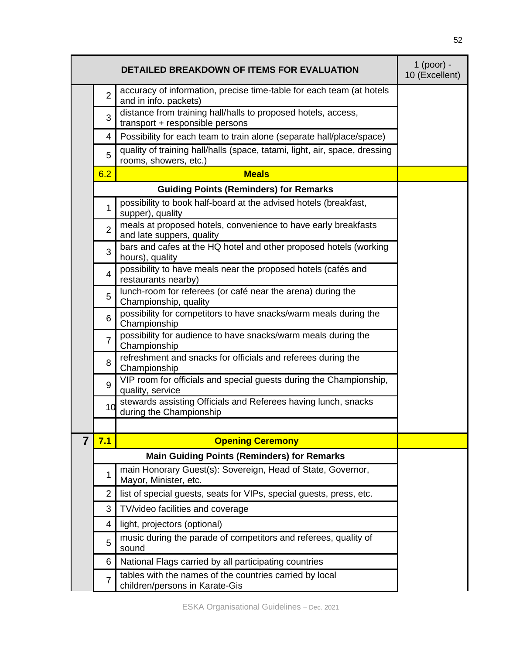|   |                | DETAILED BREAKDOWN OF ITEMS FOR EVALUATION                                                          | $1$ (poor) -<br>10 (Excellent) |
|---|----------------|-----------------------------------------------------------------------------------------------------|--------------------------------|
|   | $\overline{2}$ | accuracy of information, precise time-table for each team (at hotels<br>and in info. packets)       |                                |
|   | 3              | distance from training hall/halls to proposed hotels, access,<br>transport + responsible persons    |                                |
|   | 4              | Possibility for each team to train alone (separate hall/place/space)                                |                                |
|   | 5              | quality of training hall/halls (space, tatami, light, air, space, dressing<br>rooms, showers, etc.) |                                |
|   | 6.2            | <b>Meals</b>                                                                                        |                                |
|   |                | <b>Guiding Points (Reminders) for Remarks</b>                                                       |                                |
|   | 1              | possibility to book half-board at the advised hotels (breakfast,<br>supper), quality                |                                |
|   | $\overline{2}$ | meals at proposed hotels, convenience to have early breakfasts<br>and late suppers, quality         |                                |
|   | 3              | bars and cafes at the HQ hotel and other proposed hotels (working<br>hours), quality                |                                |
|   | $\overline{4}$ | possibility to have meals near the proposed hotels (cafés and<br>restaurants nearby)                |                                |
|   | 5              | lunch-room for referees (or café near the arena) during the<br>Championship, quality                |                                |
|   | 6              | possibility for competitors to have snacks/warm meals during the<br>Championship                    |                                |
|   | $\overline{7}$ | possibility for audience to have snacks/warm meals during the<br>Championship                       |                                |
|   | 8              | refreshment and snacks for officials and referees during the<br>Championship                        |                                |
|   | 9              | VIP room for officials and special guests during the Championship,<br>quality, service              |                                |
|   | 10             | stewards assisting Officials and Referees having lunch, snacks<br>during the Championship           |                                |
|   |                |                                                                                                     |                                |
| 7 | 7.1            | <b>Opening Ceremony</b>                                                                             |                                |
|   |                | <b>Main Guiding Points (Reminders) for Remarks</b>                                                  |                                |
|   | 1              | main Honorary Guest(s): Sovereign, Head of State, Governor,<br>Mayor, Minister, etc.                |                                |
|   | 2              | list of special guests, seats for VIPs, special guests, press, etc.                                 |                                |
|   | 3              | TV/video facilities and coverage                                                                    |                                |
|   | 4              | light, projectors (optional)                                                                        |                                |
|   | 5              | music during the parade of competitors and referees, quality of<br>sound                            |                                |
|   | 6              | National Flags carried by all participating countries                                               |                                |
|   | 7              | tables with the names of the countries carried by local<br>children/persons in Karate-Gis           |                                |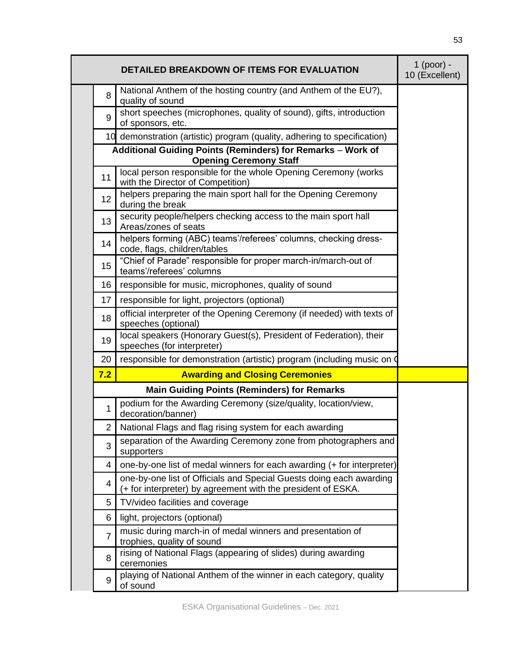|                | <b>DETAILED BREAKDOWN OF ITEMS FOR EVALUATION</b>                                                                                   | $1$ (poor) -<br>10 (Excellent) |
|----------------|-------------------------------------------------------------------------------------------------------------------------------------|--------------------------------|
| 8              | National Anthem of the hosting country (and Anthem of the EU?),<br>quality of sound                                                 |                                |
| 9              | short speeches (microphones, quality of sound), gifts, introduction<br>of sponsors, etc.                                            |                                |
|                | 10 demonstration (artistic) program (quality, adhering to specification)                                                            |                                |
|                | Additional Guiding Points (Reminders) for Remarks - Work of<br><b>Opening Ceremony Staff</b>                                        |                                |
| 11             | local person responsible for the whole Opening Ceremony (works<br>with the Director of Competition)                                 |                                |
| 12             | helpers preparing the main sport hall for the Opening Ceremony<br>during the break                                                  |                                |
| 13             | security people/helpers checking access to the main sport hall<br>Areas/zones of seats                                              |                                |
| 14             | helpers forming (ABC) teams'/referees' columns, checking dress-<br>code, flags, children/tables                                     |                                |
| 15             | "Chief of Parade" responsible for proper march-in/march-out of<br>teams'/referees' columns                                          |                                |
| 16             | responsible for music, microphones, quality of sound                                                                                |                                |
| 17             | responsible for light, projectors (optional)                                                                                        |                                |
| 18             | official interpreter of the Opening Ceremony (if needed) with texts of<br>speeches (optional)                                       |                                |
| 19             | local speakers (Honorary Guest(s), President of Federation), their<br>speeches (for interpreter)                                    |                                |
| 20             | responsible for demonstration (artistic) program (including music on                                                                |                                |
| 7.2            | <b>Awarding and Closing Ceremonies</b>                                                                                              |                                |
|                | <b>Main Guiding Points (Reminders) for Remarks</b>                                                                                  |                                |
| 1              | podium for the Awarding Ceremony (size/quality, location/view,<br>decoration/banner)                                                |                                |
| 2              | National Flags and flag rising system for each awarding                                                                             |                                |
| 3              | separation of the Awarding Ceremony zone from photographers and<br>supporters                                                       |                                |
| 4              | one-by-one list of medal winners for each awarding (+ for interpreter)                                                              |                                |
| 4              | one-by-one list of Officials and Special Guests doing each awarding<br>(+ for interpreter) by agreement with the president of ESKA. |                                |
| 5              | TV/video facilities and coverage                                                                                                    |                                |
| 6              | light, projectors (optional)                                                                                                        |                                |
| $\overline{7}$ | music during march-in of medal winners and presentation of<br>trophies, quality of sound                                            |                                |
| 8              | rising of National Flags (appearing of slides) during awarding<br>ceremonies                                                        |                                |
| $9\,$          | playing of National Anthem of the winner in each category, quality<br>of sound                                                      |                                |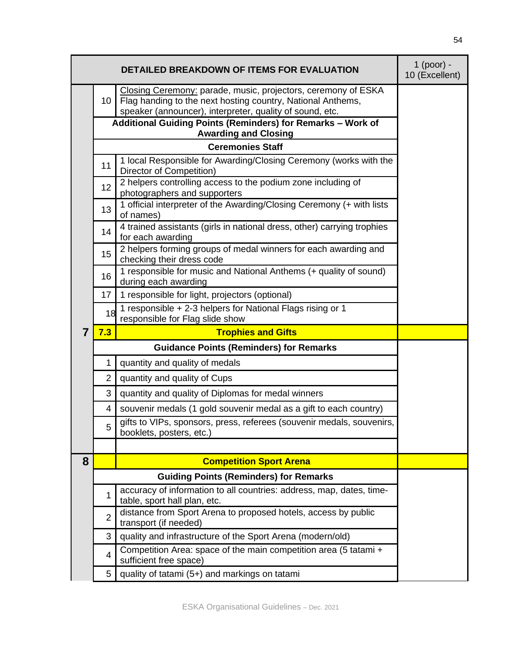|   |                | <b>DETAILED BREAKDOWN OF ITEMS FOR EVALUATION</b>                                                                                                                                        | $1$ (poor) -<br>10 (Excellent) |
|---|----------------|------------------------------------------------------------------------------------------------------------------------------------------------------------------------------------------|--------------------------------|
|   | 10             | Closing Ceremony: parade, music, projectors, ceremony of ESKA<br>Flag handing to the next hosting country, National Anthems,<br>speaker (announcer), interpreter, quality of sound, etc. |                                |
|   |                | Additional Guiding Points (Reminders) for Remarks - Work of<br><b>Awarding and Closing</b>                                                                                               |                                |
|   |                | <b>Ceremonies Staff</b>                                                                                                                                                                  |                                |
|   |                | 1 local Responsible for Awarding/Closing Ceremony (works with the                                                                                                                        |                                |
|   | 11             | Director of Competition)                                                                                                                                                                 |                                |
|   | 12             | 2 helpers controlling access to the podium zone including of<br>photographers and supporters                                                                                             |                                |
|   | 13             | 1 official interpreter of the Awarding/Closing Ceremony (+ with lists                                                                                                                    |                                |
|   |                | of names)                                                                                                                                                                                |                                |
|   | 14             | 4 trained assistants (girls in national dress, other) carrying trophies<br>for each awarding                                                                                             |                                |
|   | 15             | 2 helpers forming groups of medal winners for each awarding and<br>checking their dress code                                                                                             |                                |
|   | 16             | 1 responsible for music and National Anthems (+ quality of sound)<br>during each awarding                                                                                                |                                |
|   | 17             | 1 responsible for light, projectors (optional)                                                                                                                                           |                                |
|   | 18             | 1 responsible + 2-3 helpers for National Flags rising or 1<br>responsible for Flag slide show                                                                                            |                                |
| 7 | 7.3            | <b>Trophies and Gifts</b>                                                                                                                                                                |                                |
|   |                | <b>Guidance Points (Reminders) for Remarks</b>                                                                                                                                           |                                |
|   | 1              | quantity and quality of medals                                                                                                                                                           |                                |
|   | 2              | quantity and quality of Cups                                                                                                                                                             |                                |
|   | 3              | quantity and quality of Diplomas for medal winners                                                                                                                                       |                                |
|   | 4              | souvenir medals (1 gold souvenir medal as a gift to each country)                                                                                                                        |                                |
|   | 5              | gifts to VIPs, sponsors, press, referees (souvenir medals, souvenirs,<br>booklets, posters, etc.)                                                                                        |                                |
|   |                |                                                                                                                                                                                          |                                |
| 8 |                | <b>Competition Sport Arena</b>                                                                                                                                                           |                                |
|   |                | <b>Guiding Points (Reminders) for Remarks</b>                                                                                                                                            |                                |
|   | 1              | accuracy of information to all countries: address, map, dates, time-<br>table, sport hall plan, etc.                                                                                     |                                |
|   | $\overline{2}$ | distance from Sport Arena to proposed hotels, access by public<br>transport (if needed)                                                                                                  |                                |
|   | 3              | quality and infrastructure of the Sport Arena (modern/old)                                                                                                                               |                                |
|   | $\overline{4}$ | Competition Area: space of the main competition area (5 tatami +<br>sufficient free space)                                                                                               |                                |
|   | 5              | quality of tatami (5+) and markings on tatami                                                                                                                                            |                                |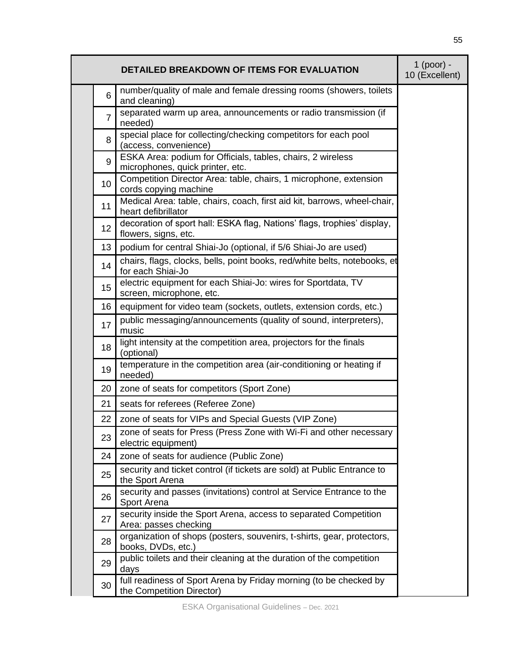|                 | DETAILED BREAKDOWN OF ITEMS FOR EVALUATION                                                      | $1$ (poor) -<br>10 (Excellent) |
|-----------------|-------------------------------------------------------------------------------------------------|--------------------------------|
| $6\phantom{1}6$ | number/quality of male and female dressing rooms (showers, toilets<br>and cleaning)             |                                |
| $\overline{7}$  | separated warm up area, announcements or radio transmission (if<br>needed)                      |                                |
| 8               | special place for collecting/checking competitors for each pool<br>(access, convenience)        |                                |
| 9               | ESKA Area: podium for Officials, tables, chairs, 2 wireless<br>microphones, quick printer, etc. |                                |
| 10              | Competition Director Area: table, chairs, 1 microphone, extension<br>cords copying machine      |                                |
| 11              | Medical Area: table, chairs, coach, first aid kit, barrows, wheel-chair,<br>heart defibrillator |                                |
| 12              | decoration of sport hall: ESKA flag, Nations' flags, trophies' display,<br>flowers, signs, etc. |                                |
| 13              | podium for central Shiai-Jo (optional, if 5/6 Shiai-Jo are used)                                |                                |
| 14              | chairs, flags, clocks, bells, point books, red/white belts, notebooks, et<br>for each Shiai-Jo  |                                |
| 15              | electric equipment for each Shiai-Jo: wires for Sportdata, TV<br>screen, microphone, etc.       |                                |
| 16              | equipment for video team (sockets, outlets, extension cords, etc.)                              |                                |
| 17              | public messaging/announcements (quality of sound, interpreters),<br>music                       |                                |
| 18              | light intensity at the competition area, projectors for the finals<br>(optional)                |                                |
| 19              | temperature in the competition area (air-conditioning or heating if<br>needed)                  |                                |
| 20              | zone of seats for competitors (Sport Zone)                                                      |                                |
| 21              | seats for referees (Referee Zone)                                                               |                                |
| 22              | zone of seats for VIPs and Special Guests (VIP Zone)                                            |                                |
| 23              | zone of seats for Press (Press Zone with Wi-Fi and other necessary<br>electric equipment)       |                                |
| 24              | zone of seats for audience (Public Zone)                                                        |                                |
| 25              | security and ticket control (if tickets are sold) at Public Entrance to<br>the Sport Arena      |                                |
| 26              | security and passes (invitations) control at Service Entrance to the<br>Sport Arena             |                                |
| 27              | security inside the Sport Arena, access to separated Competition<br>Area: passes checking       |                                |
| 28              | organization of shops (posters, souvenirs, t-shirts, gear, protectors,<br>books, DVDs, etc.)    |                                |
| 29              | public toilets and their cleaning at the duration of the competition<br>days                    |                                |
| 30              | full readiness of Sport Arena by Friday morning (to be checked by<br>the Competition Director)  |                                |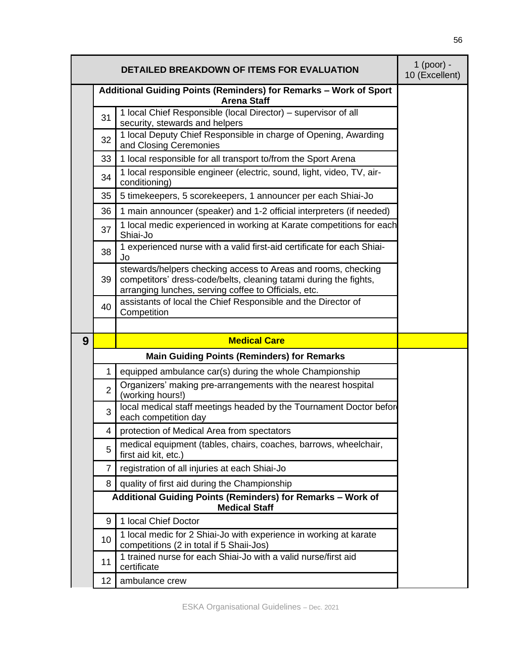|   | $1$ (poor) -<br>10 (Excellent) |                                                                                                                                                                                            |  |
|---|--------------------------------|--------------------------------------------------------------------------------------------------------------------------------------------------------------------------------------------|--|
|   |                                | Additional Guiding Points (Reminders) for Remarks - Work of Sport<br><b>Arena Staff</b>                                                                                                    |  |
|   | 31                             | 1 local Chief Responsible (local Director) - supervisor of all<br>security, stewards and helpers                                                                                           |  |
|   | 32                             | 1 local Deputy Chief Responsible in charge of Opening, Awarding<br>and Closing Ceremonies                                                                                                  |  |
|   | 33                             | 1 local responsible for all transport to/from the Sport Arena                                                                                                                              |  |
|   | 34                             | 1 local responsible engineer (electric, sound, light, video, TV, air-<br>conditioning)                                                                                                     |  |
|   | 35                             | 5 timekeepers, 5 scorekeepers, 1 announcer per each Shiai-Jo                                                                                                                               |  |
|   | 36                             | 1 main announcer (speaker) and 1-2 official interpreters (if needed)                                                                                                                       |  |
|   | 37                             | 1 local medic experienced in working at Karate competitions for each<br>Shiai-Jo                                                                                                           |  |
|   | 38                             | 1 experienced nurse with a valid first-aid certificate for each Shiai-<br>Jo                                                                                                               |  |
|   | 39                             | stewards/helpers checking access to Areas and rooms, checking<br>competitors' dress-code/belts, cleaning tatami during the fights,<br>arranging lunches, serving coffee to Officials, etc. |  |
|   | 40                             | assistants of local the Chief Responsible and the Director of<br>Competition                                                                                                               |  |
|   |                                |                                                                                                                                                                                            |  |
| 9 |                                | <b>Medical Care</b>                                                                                                                                                                        |  |
|   |                                | <b>Main Guiding Points (Reminders) for Remarks</b>                                                                                                                                         |  |
|   | 1                              | equipped ambulance car(s) during the whole Championship                                                                                                                                    |  |
|   | $\overline{2}$                 | Organizers' making pre-arrangements with the nearest hospital<br>(working hours!)                                                                                                          |  |
|   | 3                              | local medical staff meetings headed by the Tournament Doctor befor<br>each competition day                                                                                                 |  |
|   | 4                              | protection of Medical Area from spectators                                                                                                                                                 |  |
|   | 5                              | medical equipment (tables, chairs, coaches, barrows, wheelchair,<br>first aid kit, etc.)                                                                                                   |  |
|   | 7                              | registration of all injuries at each Shiai-Jo                                                                                                                                              |  |
|   | 8                              | quality of first aid during the Championship                                                                                                                                               |  |
|   |                                | Additional Guiding Points (Reminders) for Remarks - Work of<br><b>Medical Staff</b>                                                                                                        |  |
|   | 9                              | 1 local Chief Doctor                                                                                                                                                                       |  |
|   | 10                             | 1 local medic for 2 Shiai-Jo with experience in working at karate<br>competitions (2 in total if 5 Shaii-Jos)                                                                              |  |
|   | 11                             | 1 trained nurse for each Shiai-Jo with a valid nurse/first aid<br>certificate                                                                                                              |  |
|   | 12 <sup>2</sup>                | ambulance crew                                                                                                                                                                             |  |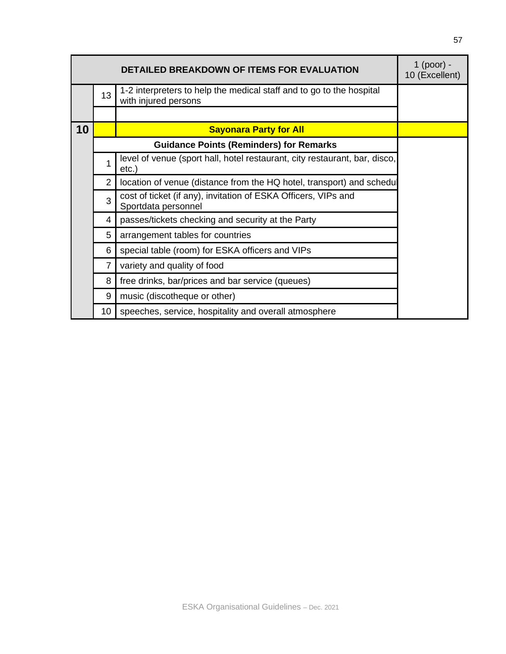|    |                | <b>DETAILED BREAKDOWN OF ITEMS FOR EVALUATION</b>                                            | 1 (poor) -<br>10 (Excellent) |
|----|----------------|----------------------------------------------------------------------------------------------|------------------------------|
|    | 13             | 1-2 interpreters to help the medical staff and to go to the hospital<br>with injured persons |                              |
|    |                |                                                                                              |                              |
| 10 |                | <b>Sayonara Party for All</b>                                                                |                              |
|    |                | <b>Guidance Points (Reminders) for Remarks</b>                                               |                              |
|    | 1              | level of venue (sport hall, hotel restaurant, city restaurant, bar, disco,<br>$etc.$ )       |                              |
|    | 2              | location of venue (distance from the HQ hotel, transport) and schedul                        |                              |
|    | 3              | cost of ticket (if any), invitation of ESKA Officers, VIPs and<br>Sportdata personnel        |                              |
|    | 4              | passes/tickets checking and security at the Party                                            |                              |
|    | 5              | arrangement tables for countries                                                             |                              |
|    | 6              | special table (room) for ESKA officers and VIPs                                              |                              |
|    | $\overline{7}$ | variety and quality of food                                                                  |                              |
|    | 8              | free drinks, bar/prices and bar service (queues)                                             |                              |
|    | 9              | music (discotheque or other)                                                                 |                              |
|    | 10             | speeches, service, hospitality and overall atmosphere                                        |                              |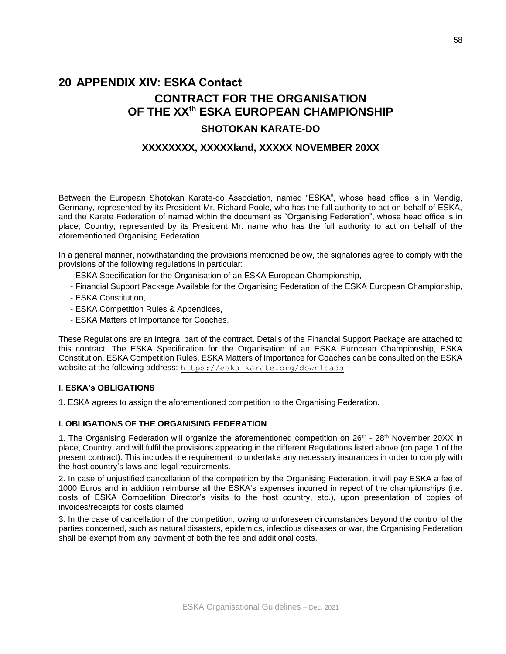# **20 APPENDIX XIV: ESKA Contact CONTRACT FOR THE ORGANISATION OF THE XXth ESKA EUROPEAN CHAMPIONSHIP**

## **SHOTOKAN KARATE-DO**

#### **XXXXXXXX, XXXXXland, XXXXX NOVEMBER 20XX**

Between the European Shotokan Karate-do Association, named "ESKA", whose head office is in Mendig, Germany, represented by its President Mr. Richard Poole, who has the full authority to act on behalf of ESKA, and the Karate Federation of named within the document as "Organising Federation", whose head office is in place, Country, represented by its President Mr. name who has the full authority to act on behalf of the aforementioned Organising Federation.

In a general manner, notwithstanding the provisions mentioned below, the signatories agree to comply with the provisions of the following regulations in particular:

- ESKA Specification for the Organisation of an ESKA European Championship,
- Financial Support Package Available for the Organising Federation of the ESKA European Championship,
- ESKA Constitution,
- ESKA Competition Rules & Appendices,
- ESKA Matters of Importance for Coaches.

These Regulations are an integral part of the contract. Details of the Financial Support Package are attached to this contract. The ESKA Specification for the Organisation of an ESKA European Championship, ESKA Constitution, ESKA Competition Rules, ESKA Matters of Importance for Coaches can be consulted on the ESKA website at the following address: <https://eska-karate.org/downloads>

#### **I. ESKA's OBLIGATIONS**

1. ESKA agrees to assign the aforementioned competition to the Organising Federation.

#### **I. OBLIGATIONS OF THE ORGANISING FEDERATION**

1. The Organising Federation will organize the aforementioned competition on  $26<sup>th</sup>$  -  $28<sup>th</sup>$  November 20XX in place, Country, and will fulfil the provisions appearing in the different Regulations listed above (on page 1 of the present contract). This includes the requirement to undertake any necessary insurances in order to comply with the host country's laws and legal requirements.

2. In case of unjustified cancellation of the competition by the Organising Federation, it will pay ESKA a fee of 1000 Euros and in addition reimburse all the ESKA's expenses incurred in repect of the championships (i.e. costs of ESKA Competition Director's visits to the host country, etc.), upon presentation of copies of invoices/receipts for costs claimed.

3. In the case of cancellation of the competition, owing to unforeseen circumstances beyond the control of the parties concerned, such as natural disasters, epidemics, infectious diseases or war, the Organising Federation shall be exempt from any payment of both the fee and additional costs.